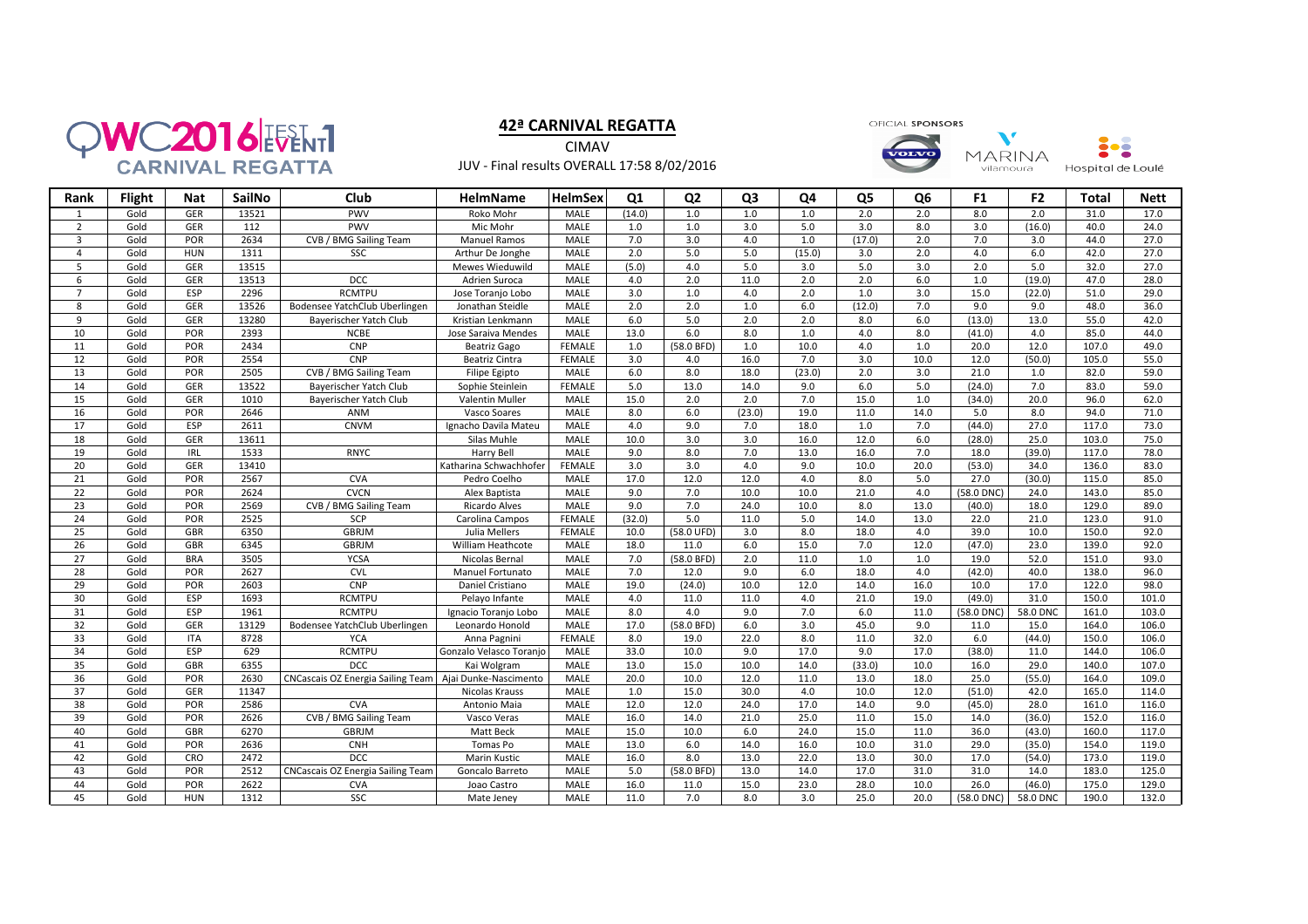

## **42ª CARNIVAL REGATTA**

**CIMAV** JUV - Final results OVERALL 17:58 8/02/2016 OFICIAL SPONSORS

 $\mathbf{v}$  $\frac{1}{2}$ **MARINA** Hospital de Loulé vilamoura

| Rank            | <b>Flight</b> | <b>Nat</b> | SailNo | Club                                     | HelmName                | <b>HelmSex</b> | Q <sub>1</sub>   | Q <sub>2</sub>       | Q <sub>3</sub>   | Q4               | Q <sub>5</sub>   | Q <sub>6</sub>   | F <sub>1</sub>   | F <sub>2</sub> | <b>Total</b> | <b>Nett</b> |
|-----------------|---------------|------------|--------|------------------------------------------|-------------------------|----------------|------------------|----------------------|------------------|------------------|------------------|------------------|------------------|----------------|--------------|-------------|
| 1               | Gold          | <b>GER</b> | 13521  | PWV                                      | Roko Mohr               | <b>MALE</b>    | (14.0)           | 1.0                  | 1.0              | 1.0              | 2.0              | 2.0              | 8.0              | 2.0            | 31.0         | 17.0        |
| $\overline{2}$  | Gold          | <b>GER</b> | 112    | <b>PWV</b>                               | Mic Mohr                | <b>MALE</b>    | 1.0              | 1.0                  | 3.0              | 5.0              | 3.0              | 8.0              | 3.0              | (16.0)         | 40.0         | 24.0        |
| $\overline{3}$  | Gold          | POR        | 2634   | CVB / BMG Sailing Team                   | <b>Manuel Ramos</b>     | MALE           | 7.0              | 3.0                  | 4.0              | 1.0              | (17.0)           | 2.0              | 7.0              | 3.0            | 44.0         | 27.0        |
| $\overline{4}$  | Gold          | <b>HUN</b> | 1311   | SSC                                      | Arthur De Jonghe        | <b>MALE</b>    | $\overline{2.0}$ | 5.0                  | $\overline{5.0}$ | (15.0)           | $\overline{3.0}$ | $\overline{2.0}$ | 4.0              | 6.0            | 42.0         | 27.0        |
| 5               | Gold          | <b>GER</b> | 13515  |                                          | Mewes Wieduwild         | MALE           | (5.0)            | 4.0                  | 5.0              | $\overline{3.0}$ | 5.0              | 3.0              | 2.0              | 5.0            | 32.0         | 27.0        |
| 6               | Gold          | <b>GER</b> | 13513  | DCC                                      | Adrien Suroca           | <b>MALE</b>    | 4.0              | 2.0                  | 11.0             | 2.0              | 2.0              | 6.0              | $\overline{1.0}$ | (19.0)         | 47.0         | 28.0        |
| $\overline{7}$  | Gold          | ESP        | 2296   | <b>RCMTPU</b>                            | Jose Toranjo Lobo       | <b>MALE</b>    | 3.0              | 1.0                  | 4.0              | 2.0              | 1.0              | 3.0              | 15.0             | (22.0)         | 51.0         | 29.0        |
| 8               | Gold          | <b>GER</b> | 13526  | Bodensee YatchClub Uberlingen            | Jonathan Steidle        | MALE           | 2.0              | 2.0                  | 1.0              | 6.0              | (12.0)           | 7.0              | 9.0              | 9.0            | 48.0         | 36.0        |
| 9               | Gold          | GER        | 13280  | Bayerischer Yatch Club                   | Kristian Lenkmann       | MALE           | 6.0              | 5.0                  | 2.0              | 2.0              | 8.0              | 6.0              | (13.0)           | 13.0           | 55.0         | 42.0        |
| 10              | Gold          | POR        | 2393   | <b>NCBE</b>                              | Jose Saraiva Mendes     | MALE           | 13.0             | 6.0                  | 8.0              | 1.0              | 4.0              | 8.0              | (41.0)           | 4.0            | 85.0         | 44.0        |
| 11              | Gold          | POR        | 2434   | <b>CNP</b>                               | Beatriz Gago            | <b>FEMALE</b>  | 1.0              | (58.0 BFD)           | 1.0              | 10.0             | 4.0              | 1.0              | 20.0             | 12.0           | 107.0        | 49.0        |
| 12              | Gold          | <b>POR</b> | 2554   | CNP                                      | Beatriz Cintra          | <b>FEMALE</b>  | 3.0              | 4.0                  | 16.0             | 7.0              | 3.0              | 10.0             | 12.0             | (50.0)         | 105.0        | 55.0        |
| 13              | Gold          | POR        | 2505   | CVB / BMG Sailing Team                   | Filipe Egipto           | MALE           | 6.0              | 8.0                  | 18.0             | (23.0)           | 2.0              | 3.0              | 21.0             | 1.0            | 82.0         | 59.0        |
| 14              | Gold          | GER        | 13522  | Bayerischer Yatch Club                   | Sophie Steinlein        | FEMALE         | 5.0              | 13.0                 | 14.0             | 9.0              | 6.0              | 5.0              | (24.0)           | 7.0            | 83.0         | 59.0        |
| 15              | Gold          | <b>GER</b> | 1010   | Bayerischer Yatch Club                   | Valentin Muller         | <b>MALE</b>    | 15.0             | 2.0                  | 2.0              | 7.0              | 15.0             | 1.0              | (34.0)           | 20.0           | 96.0         | 62.0        |
| 16              | Gold          | POR        | 2646   | ANM                                      | Vasco Soares            | MALE           | 8.0              | 6.0                  | (23.0)           | 19.0             | 11.0             | 14.0             | 5.0              | 8.0            | 94.0         | 71.0        |
| 17              | Gold          | ESP        | 2611   | <b>CNVM</b>                              | Ignacho Davila Mateu    | MALE           | 4.0              | 9.0                  | 7.0              | 18.0             | 1.0              | 7.0              | (44.0)           | 27.0           | 117.0        | 73.0        |
| 18              | Gold          | GER        | 13611  |                                          | Silas Muhle             | <b>MALE</b>    | 10.0             | 3.0                  | 3.0              | 16.0             | 12.0             | 6.0              | (28.0)           | 25.0           | 103.0        | 75.0        |
| 19              | Gold          | <b>IRL</b> | 1533   | <b>RNYC</b>                              | Harry Bell              | <b>MALE</b>    | 9.0              | 8.0                  | 7.0              | 13.0             | 16.0             | 7.0              | 18.0             | (39.0)         | 117.0        | 78.0        |
| 20              | Gold          | <b>GER</b> | 13410  |                                          | Katharina Schwachhofer  | FEMALE         | 3.0              | $\overline{3.0}$     | 4.0              | 9.0              | 10.0             | 20.0             | (53.0)           | 34.0           | 136.0        | 83.0        |
| 21              | Gold          | POR        | 2567   | CVA                                      | Pedro Coelho            | MALE           | 17.0             | 12.0                 | 12.0             | 4.0              | 8.0              | 5.0              | 27.0             | (30.0)         | 115.0        | 85.0        |
| 22              | Gold          | POR        | 2624   | <b>CVCN</b>                              | Alex Baptista           | MALE           | 9.0              | 7.0                  | 10.0             | 10.0             | 21.0             | 4.0              | (58.0 DNC)       | 24.0           | 143.0        | 85.0        |
| 23              | Gold          | POR        | 2569   | CVB / BMG Sailing Team                   | Ricardo Alves           | MALE           | 9.0              | 7.0                  | 24.0             | 10.0             | 8.0              | 13.0             | (40.0)           | 18.0           | 129.0        | 89.0        |
| 24              | Gold          | POR        | 2525   | SCP                                      | Carolina Campos         | <b>FEMALE</b>  | (32.0)           | 5.0                  | 11.0             | 5.0              | 14.0             | 13.0             | 22.0             | 21.0           | 123.0        | 91.0        |
| 25              | Gold          | <b>GBR</b> | 6350   | GBRJM                                    | Julia Mellers           | <b>FEMALE</b>  | 10.0             | $(58.0 \text{ UFD})$ | 3.0              | 8.0              | 18.0             | 4.0              | 39.0             | 10.0           | 150.0        | 92.0        |
| $\overline{26}$ | Gold          | <b>GBR</b> | 6345   | <b>GBRJM</b>                             | William Heathcote       | MALE           | 18.0             | 11.0                 | 6.0              | 15.0             | 7.0              | 12.0             | (47.0)           | 23.0           | 139.0        | 92.0        |
| 27              | Gold          | <b>BRA</b> | 3505   | <b>YCSA</b>                              | Nicolas Bernal          | <b>MALE</b>    | 7.0              | (58.0 BFD)           | 2.0              | 11.0             | 1.0              | 1.0              | 19.0             | 52.0           | 151.0        | 93.0        |
| 28              | Gold          | POR        | 2627   | <b>CVL</b>                               | Manuel Fortunato        | MALE           | 7.0              | 12.0                 | 9.0              | 6.0              | 18.0             | 4.0              | (42.0)           | 40.0           | 138.0        | 96.0        |
| 29              | Gold          | POR        | 2603   | CNP                                      | Daniel Cristiano        | MALE           | 19.0             | (24.0)               | 10.0             | 12.0             | 14.0             | 16.0             | 10.0             | 17.0           | 122.0        | 98.0        |
| 30              | Gold          | ESP        | 1693   | <b>RCMTPU</b>                            | Pelayo Infante          | MALE           | 4.0              | 11.0                 | 11.0             | 4.0              | 21.0             | 19.0             | (49.0)           | 31.0           | 150.0        | 101.0       |
| 31              | Gold          | ESP        | 1961   | <b>RCMTPU</b>                            | Ignacio Toranjo Lobo    | <b>MALE</b>    | 8.0              | 4.0                  | 9.0              | 7.0              | 6.0              | 11.0             | (58.0 DNC)       | 58.0 DNC       | 161.0        | 103.0       |
| 32              | Gold          | <b>GER</b> | 13129  | Bodensee YatchClub Uberlingen            | Leonardo Honold         | <b>MALE</b>    | 17.0             | (58.0 BFD)           | 6.0              | 3.0              | 45.0             | 9.0              | 11.0             | 15.0           | 164.0        | 106.0       |
| 33              | Gold          | <b>ITA</b> | 8728   | <b>YCA</b>                               | Anna Pagnini            | <b>FEMALE</b>  | 8.0              | 19.0                 | 22.0             | 8.0              | 11.0             | 32.0             | 6.0              | (44.0)         | 150.0        | 106.0       |
| 34              | Gold          | ESP        | 629    | <b>RCMTPU</b>                            | Gonzalo Velasco Toranjo | MALE           | 33.0             | 10.0                 | 9.0              | 17.0             | 9.0              | 17.0             | (38.0)           | 11.0           | 144.0        | 106.0       |
| $\overline{35}$ | Gold          | <b>GBR</b> | 6355   | <b>DCC</b>                               | Kai Wolgram             | <b>MALE</b>    | 13.0             | 15.0                 | 10.0             | 14.0             | (33.0)           | 10.0             | 16.0             | 29.0           | 140.0        | 107.0       |
| 36              | Gold          | POR        | 2630   | <b>CNCascais OZ Energia Sailing Team</b> | Ajai Dunke-Nascimento   | MALE           | 20.0             | 10.0                 | 12.0             | 11.0             | 13.0             | 18.0             | 25.0             | (55.0)         | 164.0        | 109.0       |
| 37              | Gold          | <b>GER</b> | 11347  |                                          | Nicolas Krauss          | <b>MALE</b>    | 1.0              | 15.0                 | 30.0             | 4.0              | 10.0             | 12.0             | (51.0)           | 42.0           | 165.0        | 114.0       |
| 38              | Gold          | <b>POR</b> | 2586   | <b>CVA</b>                               | Antonio Maia            | <b>MALE</b>    | 12.0             | 12.0                 | 24.0             | 17.0             | 14.0             | 9.0              | (45.0)           | 28.0           | 161.0        | 116.0       |
| 39              | Gold          | POR        | 2626   | CVB / BMG Sailing Team                   | Vasco Veras             | <b>MALE</b>    | 16.0             | 14.0                 | 21.0             | 25.0             | 11.0             | 15.0             | 14.0             | (36.0)         | 152.0        | 116.0       |
| 40              | Gold          | GBR        | 6270   | <b>GBRJM</b>                             | Matt Beck               | <b>MALE</b>    | 15.0             | 10.0                 | 6.0              | 24.0             | 15.0             | 11.0             | 36.0             | (43.0)         | 160.0        | 117.0       |
| 41              | Gold          | <b>POR</b> | 2636   | <b>CNH</b>                               | Tomas Po                | MALE           | 13.0             | 6.0                  | 14.0             | 16.0             | 10.0             | 31.0             | 29.0             | (35.0)         | 154.0        | 119.0       |
| 42              | Gold          | CRO        | 2472   | DCC                                      | Marin Kustic            | MALE           | 16.0             | 8.0                  | 13.0             | 22.0             | 13.0             | 30.0             | 17.0             | (54.0)         | 173.0        | 119.0       |
| 43              | Gold          | POR        | 2512   | <b>CNCascais OZ Energia Sailing Team</b> | Goncalo Barreto         | <b>MALE</b>    | 5.0              | (58.0 BFD)           | 13.0             | 14.0             | 17.0             | 31.0             | 31.0             | 14.0           | 183.0        | 125.0       |
| 44              | Gold          | <b>POR</b> | 2622   | <b>CVA</b>                               | Joao Castro             | <b>MALE</b>    | 16.0             | 11.0                 | 15.0             | 23.0             | 28.0             | 10.0             | 26.0             | (46.0)         | 175.0        | 129.0       |
| 45              | Gold          | <b>HUN</b> | 1312   | SSC                                      | Mate Jeney              | <b>MALE</b>    | 11.0             | 7.0                  | 8.0              | 3.0              | 25.0             | 20.0             | (58.0 DNC)       | 58.0 DNC       | 190.0        | 132.0       |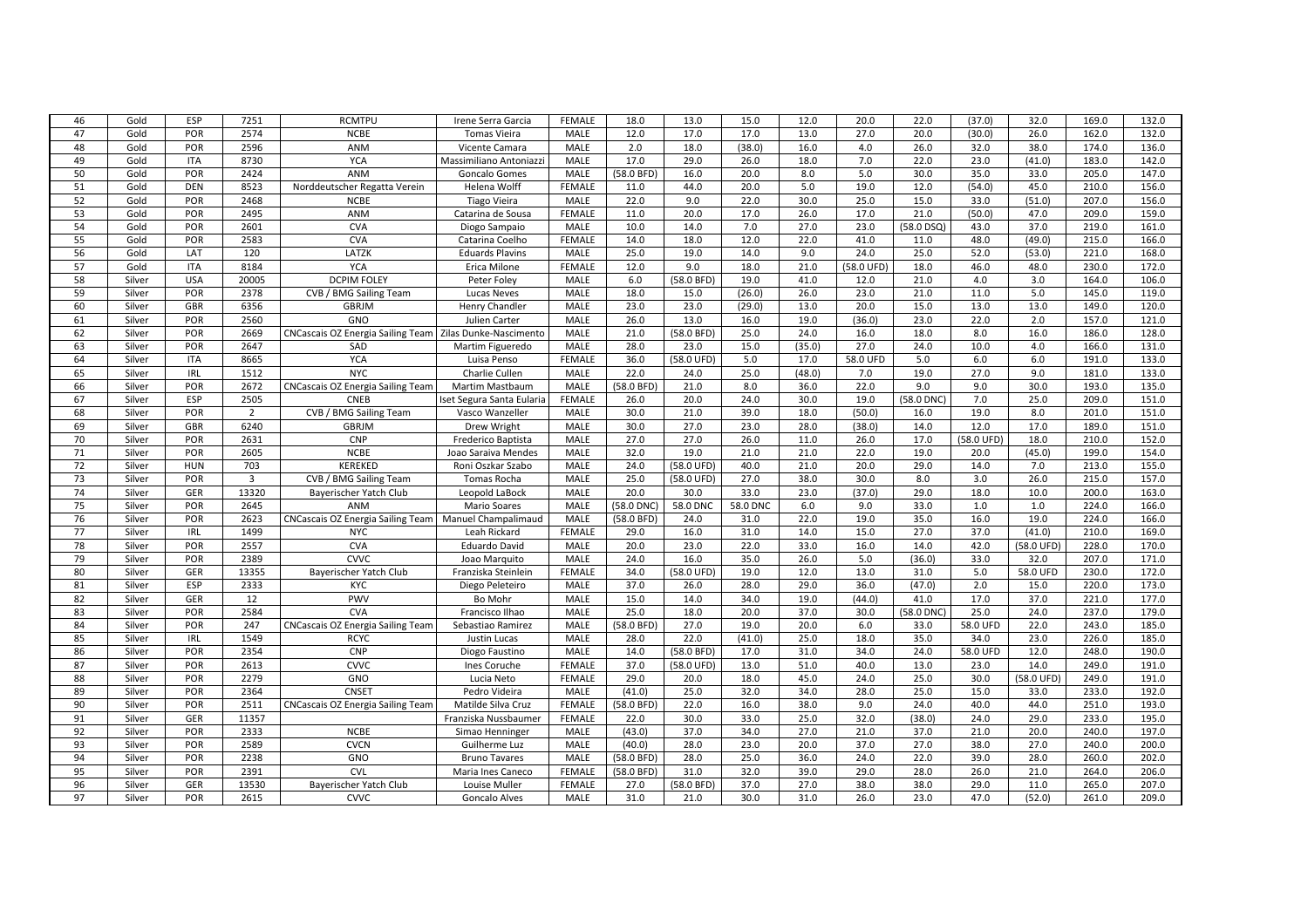| 47<br>Gold<br><b>POR</b><br>2574<br><b>NCBE</b><br><b>MALE</b><br>12.0<br>17.0<br>17.0<br>13.0<br>27.0<br>20.0<br>(30.0)<br>26.0<br>162.0<br>132.0<br><b>Tomas Vieira</b><br>2596<br>48<br>Gold<br><b>POR</b><br>ANM<br>2.0<br>18.0<br>(38.0)<br>16.0<br>4.0<br>26.0<br>32.0<br>38.0<br>174.0<br>136.0<br>Vicente Camara<br>MALE<br>49<br><b>YCA</b><br>17.0<br>29.0<br>18.0<br>7.0<br>23.0<br>Gold<br>8730<br>26.0<br>22.0<br>(41.0)<br>183.0<br>142.0<br><b>ITA</b><br>Massimiliano Antoniazzi<br>MALE<br>5.0<br>35.0<br>50<br>Gold<br>POR<br>2424<br><b>ANM</b><br>MALE<br>(58.0 BFD)<br>16.0<br>20.0<br>8.0<br>30.0<br>33.0<br>205.0<br>147.0<br><b>Goncalo Gomes</b><br>51<br><b>DEN</b><br>8523<br><b>FEMALE</b><br>11.0<br>44.0<br>20.0<br>5.0<br>19.0<br>12.0<br>(54.0)<br>45.0<br>210.0<br>156.0<br>Gold<br>Norddeutscher Regatta Verein<br>Helena Wolff<br>52<br>22.0<br>9.0<br>22.0<br>30.0<br>25.0<br>207.0<br>Gold<br>POR<br>2468<br><b>NCBE</b><br>MALE<br>15.0<br>33.0<br>(51.0)<br>156.0<br>Tiago Vieira<br>53<br>Gold<br><b>POR</b><br>2495<br>ANM<br>11.0<br>20.0<br>17.0<br>26.0<br>17.0<br>21.0<br>(50.0)<br>47.0<br>209.0<br>159.0<br><b>FEMALE</b><br>Catarina de Sousa<br>54<br>Gold<br>2601<br>CVA<br>10.0<br>14.0<br>7.0<br>27.0<br>23.0<br>$(58.0$ DSQ)<br>43.0<br>37.0<br>219.0<br><b>POR</b><br><b>MALE</b><br>161.0<br>Diogo Sampaio<br>55<br>12.0<br>Gold<br><b>POR</b><br>2583<br><b>CVA</b><br><b>FEMALE</b><br>14.0<br>18.0<br>22.0<br>41.0<br>11.0<br>48.0<br>(49.0)<br>215.0<br>166.0<br>Catarina Coelho<br>56<br>120<br>LATZK<br>19.0<br>14.0<br>9.0<br>24.0<br>52.0<br>Gold<br>LAT<br>25.0<br>25.0<br>(53.0)<br>221.0<br>168.0<br><b>Eduards Plavins</b><br>MALE<br>57<br>8184<br><b>YCA</b><br>230.0<br>172.0<br>Gold<br><b>ITA</b><br><b>FEMALE</b><br>12.0<br>9.0<br>18.0<br>21.0<br>(58.0 UFD)<br>18.0<br>46.0<br>48.0<br>Erica Milone<br>58<br>Silver<br><b>USA</b><br>20005<br><b>DCPIM FOLEY</b><br>6.0<br>(58.0 BFD)<br>19.0<br>41.0<br>12.0<br>21.0<br>4.0<br>3.0<br>164.0<br>106.0<br>Peter Foley<br>MALE<br>59<br>2378<br>18.0<br>(26.0)<br>26.0<br>23.0<br>21.0<br>11.0<br>5.0<br>Silver<br>POR<br>CVB / BMG Sailing Team<br><b>Lucas Neves</b><br>MALE<br>15.0<br>145.0<br>119.0<br>60<br>23.0<br>20.0<br>13.0<br>Silver<br><b>GBR</b><br>6356<br><b>GBRJM</b><br>Henry Chandler<br>MALE<br>23.0<br>(29.0)<br>13.0<br>15.0<br>13.0<br>149.0<br>120.0<br>13.0<br>61<br>Silver<br>POR<br>2560<br>GNO<br>26.0<br>16.0<br>19.0<br>(36.0)<br>23.0<br>22.0<br>2.0<br>157.0<br>121.0<br>Julien Carter<br>MALE<br>62<br>Silver<br><b>POR</b><br>2669<br>CNCascais OZ Energia Sailing Team   Zilas Dunke-Nascimento<br><b>MALE</b><br>21.0<br>(58.0 BFD)<br>25.0<br>24.0<br>16.0<br>18.0<br>8.0<br>16.0<br>186.0<br>128.0<br>63<br>27.0<br><b>POR</b><br>2647<br>MALE<br>28.0<br>23.0<br>15.0<br>(35.0)<br>24.0<br>10.0<br>4.0<br>166.0<br>131.0<br>Silver<br>SAD<br>Martim Figueredo<br>64<br>8665<br><b>YCA</b><br><b>FEMALE</b><br>36.0<br>(58.0 UFD)<br>5.0<br>17.0<br>58.0 UFD<br>5.0<br>6.0<br>6.0<br>191.0<br>133.0<br>Silver<br><b>ITA</b><br>Luisa Penso<br>65<br><b>NYC</b><br>25.0<br>19.0<br>IRL<br>1512<br>Charlie Cullen<br>MALE<br>22.0<br>24.0<br>(48.0)<br>7.0<br>27.0<br>9.0<br>181.0<br>133.0<br>Silver<br>66<br>POR<br>2672<br>(58.0 BFD)<br>21.0<br>8.0<br>22.0<br>9.0<br>9.0<br>30.0<br>193.0<br>135.0<br>Silver<br><b>CNCascais OZ Energia Sailing Team</b><br>Martim Mastbaum<br>MALE<br>36.0<br>67<br>ESP<br>2505<br>20.0<br>24.0<br>30.0<br>19.0<br>(58.0 DNC)<br>7.0<br>25.0<br>Silver<br><b>CNEB</b><br><b>FEMALE</b><br>26.0<br>209.0<br>151.0<br>Iset Segura Santa Eularia<br>68<br><b>POR</b><br>30.0<br>21.0<br>39.0<br>18.0<br>(50.0)<br>19.0<br>8.0<br>201.0<br>151.0<br>Silver<br>2<br>CVB / BMG Sailing Team<br>16.0<br>Vasco Wanzeller<br>MALE<br>69<br>6240<br><b>GBRJM</b><br>30.0<br>27.0<br>23.0<br>28.0<br>(38.0)<br>12.0<br>17.0<br>189.0<br>151.0<br>Silver<br><b>GBR</b><br><b>MALE</b><br>14.0<br>Drew Wright<br>CNP<br>27.0<br>26.0<br>70<br>Silver<br><b>POR</b><br>2631<br><b>MALE</b><br>27.0<br>11.0<br>26.0<br>17.0<br>(58.0 UFD)<br>18.0<br>210.0<br>152.0<br>Frederico Baptista<br>71<br>2605<br><b>NCBE</b><br>19.0<br>22.0<br>POR<br>32.0<br>21.0<br>21.0<br>19.0<br>20.0<br>(45.0)<br>199.0<br>154.0<br>Silver<br>Joao Saraiva Mendes<br>MALE<br>72<br>KEREKED<br>20.0<br>703<br>(58.0 UFD)<br>40.0<br>21.0<br>29.0<br>14.0<br>213.0<br>155.0<br>Silver<br><b>HUN</b><br>Roni Oszkar Szabo<br>MALE<br>24.0<br>7.0<br>73<br>$\overline{3}$<br>25.0<br>27.0<br>38.0<br>30.0<br>8.0<br>3.0<br>26.0<br>215.0<br>Silver<br>POR<br>CVB / BMG Sailing Team<br>Tomas Rocha<br><b>MALE</b><br>(58.0 UFD)<br>157.0<br>74<br>13320<br>20.0<br>30.0<br>33.0<br>23.0<br>(37.0)<br>29.0<br>18.0<br>200.0<br>Silver<br>GER<br>Bayerischer Yatch Club<br>Leopold LaBock<br>MALE<br>10.0<br>163.0<br>75<br>58.0 DNC<br>6.0<br>33.0<br>224.0<br>Silver<br><b>POR</b><br>2645<br><b>ANM</b><br>MALE<br>(58.0 DNC)<br>58.0 DNC<br>9.0<br>1.0<br>1.0<br>166.0<br>Mario Soares<br>76<br>2623<br>24.0<br>31.0<br>22.0<br>19.0<br>35.0<br>16.0<br>19.0<br>224.0<br>166.0<br>Silver<br><b>POR</b><br>CNCascais OZ Energia Sailing Team   Manuel Champalimaud<br>MALE<br>(58.0 BFD)<br>77<br>31.0<br>14.0<br>15.0<br>27.0<br>37.0<br>(41.0)<br>210.0<br>Silver<br><b>IRL</b><br>1499<br><b>NYC</b><br><b>FEMALE</b><br>29.0<br>16.0<br>169.0<br>Leah Rickard<br>$\overline{78}$<br>2557<br><b>POR</b><br><b>CVA</b><br>20.0<br>23.0<br>22.0<br>33.0<br>16.0<br>14.0<br>42.0<br>(58.0 UFD)<br>228.0<br>170.0<br>Silver<br><b>Eduardo David</b><br>MALE<br>79<br>2389<br><b>CVVC</b><br>16.0<br>35.0<br>5.0<br>(36.0)<br>33.0<br>207.0<br>POR<br>MALE<br>24.0<br>26.0<br>32.0<br>171.0<br>Silver<br>Joao Marquito<br>80<br>19.0<br>13.0<br>230.0<br>172.0<br>Silver<br>GER<br>13355<br>Bayerischer Yatch Club<br><b>FEMALE</b><br>34.0<br>(58.0 UFD)<br>12.0<br>31.0<br>5.0<br>58.0 UFD<br>Franziska Steinlein<br>81<br>ESP<br>2333<br>37.0<br>26.0<br>28.0<br>29.0<br>36.0<br>(47.0)<br>2.0<br>220.0<br>173.0<br>Silver<br>KYC<br>Diego Peleteiro<br>MALE<br>15.0<br>82<br>12<br>PWV<br>15.0<br>34.0<br>19.0<br>(44.0)<br>17.0<br>37.0<br>221.0<br>177.0<br>Silver<br>GER<br>Bo Mohr<br>MALE<br>14.0<br>41.0<br>83<br>2584<br><b>CVA</b><br>25.0<br>18.0<br>20.0<br>37.0<br>25.0<br>24.0<br>237.0<br>179.0<br>Silver<br><b>POR</b><br>30.0<br>(58.0 DNC)<br>Francisco Ilhao<br><b>MALE</b><br>84<br>247<br>27.0<br>19.0<br>20.0<br>22.0<br>243.0<br>185.0<br>Silver<br><b>POR</b><br><b>CNCascais OZ Energia Sailing Team</b><br><b>MALE</b><br>(58.0 BFD)<br>6.0<br>33.0<br>58.0 UFD<br>Sebastiao Ramirez<br>22.0<br>85<br>Silver<br><b>IRL</b><br>1549<br><b>RCYC</b><br><b>MALE</b><br>28.0<br>(41.0)<br>25.0<br>18.0<br>35.0<br>34.0<br>23.0<br>226.0<br>185.0<br>Justin Lucas<br>86<br>2354<br>CNP<br>34.0<br><b>POR</b><br>MALE<br>14.0<br>(58.0 BFD)<br>17.0<br>31.0<br>24.0<br>58.0 UFD<br>12.0<br>248.0<br>190.0<br>Silver<br>Diogo Faustino<br>87<br><b>CVVC</b><br>13.0<br>40.0<br>POR<br>2613<br><b>FEMALE</b><br>37.0<br>(58.0 UFD)<br>51.0<br>13.0<br>23.0<br>14.0<br>249.0<br>191.0<br>Silver<br>Ines Coruche<br>88<br>2279<br>GNO<br>29.0<br>20.0<br>18.0<br>45.0<br>24.0<br>25.0<br>30.0<br>(58.0 UFD)<br>249.0<br>191.0<br>Silver<br><b>POR</b><br>Lucia Neto<br><b>FEMALE</b><br>89<br>POR<br>2364<br><b>CNSET</b><br>(41.0)<br>25.0<br>32.0<br>34.0<br>28.0<br>25.0<br>15.0<br>233.0<br>192.0<br>Silver<br>Pedro Videira<br>MALE<br>33.0<br>90<br>22.0<br>16.0<br>38.0<br>9.0<br>Silver<br><b>POR</b><br>2511<br><b>FEMALE</b><br>(58.0 BFD)<br>24.0<br>40.0<br>44.0<br>251.0<br>193.0<br>CNCascais OZ Energia Sailing Team<br>Matilde Silva Cruz<br>33.0<br>91<br>22.0<br>30.0<br>25.0<br>32.0<br>(38.0)<br>24.0<br>29.0<br>233.0<br>195.0<br>Silver<br>GER<br>11357<br><b>FEMALE</b><br>Franziska Nussbaumer<br>92<br>2333<br><b>NCBE</b><br>37.0<br>27.0<br>21.0<br>Silver<br><b>POR</b><br>(43.0)<br>34.0<br>37.0<br>21.0<br>20.0<br>240.0<br>197.0<br>Simao Henninger<br><b>MALE</b><br>28.0<br>23.0<br>93<br><b>POR</b><br>2589<br><b>CVCN</b><br>(40.0)<br>20.0<br>37.0<br>27.0<br>38.0<br>27.0<br>240.0<br>200.0<br>Silver<br>Guilherme Luz<br>MALE<br>94<br>2238<br>28.0<br>25.0<br>24.0<br>39.0<br>POR<br>GNO<br>(58.0 BFD)<br>36.0<br>22.0<br>28.0<br>260.0<br>202.0<br>Silver<br><b>Bruno Tavares</b><br>MALE<br>95<br>2391<br><b>CVL</b><br>31.0<br>32.0<br>39.0<br>29.0<br>28.0<br>26.0<br>21.0<br>Silver<br>POR<br><b>FEMALE</b><br>(58.0 BFD)<br>264.0<br>206.0<br>Maria Ines Caneco<br>37.0<br>96<br>GER<br>13530<br>(58.0 BFD)<br>27.0<br>38.0<br>38.0<br>29.0<br>11.0<br>265.0<br>207.0<br>Silver<br>Bayerischer Yatch Club<br><b>FEMALE</b><br>27.0<br>Louise Muller | 46 | Gold   | <b>ESP</b> | 7251 | <b>RCMTPU</b> | Irene Serra Garcia | <b>FEMALE</b> | 18.0 | 13.0 | 15.0 | 12.0 | 20.0 | 22.0 | (37.0) | 32.0   | 169.0 | 132.0 |
|-------------------------------------------------------------------------------------------------------------------------------------------------------------------------------------------------------------------------------------------------------------------------------------------------------------------------------------------------------------------------------------------------------------------------------------------------------------------------------------------------------------------------------------------------------------------------------------------------------------------------------------------------------------------------------------------------------------------------------------------------------------------------------------------------------------------------------------------------------------------------------------------------------------------------------------------------------------------------------------------------------------------------------------------------------------------------------------------------------------------------------------------------------------------------------------------------------------------------------------------------------------------------------------------------------------------------------------------------------------------------------------------------------------------------------------------------------------------------------------------------------------------------------------------------------------------------------------------------------------------------------------------------------------------------------------------------------------------------------------------------------------------------------------------------------------------------------------------------------------------------------------------------------------------------------------------------------------------------------------------------------------------------------------------------------------------------------------------------------------------------------------------------------------------------------------------------------------------------------------------------------------------------------------------------------------------------------------------------------------------------------------------------------------------------------------------------------------------------------------------------------------------------------------------------------------------------------------------------------------------------------------------------------------------------------------------------------------------------------------------------------------------------------------------------------------------------------------------------------------------------------------------------------------------------------------------------------------------------------------------------------------------------------------------------------------------------------------------------------------------------------------------------------------------------------------------------------------------------------------------------------------------------------------------------------------------------------------------------------------------------------------------------------------------------------------------------------------------------------------------------------------------------------------------------------------------------------------------------------------------------------------------------------------------------------------------------------------------------------------------------------------------------------------------------------------------------------------------------------------------------------------------------------------------------------------------------------------------------------------------------------------------------------------------------------------------------------------------------------------------------------------------------------------------------------------------------------------------------------------------------------------------------------------------------------------------------------------------------------------------------------------------------------------------------------------------------------------------------------------------------------------------------------------------------------------------------------------------------------------------------------------------------------------------------------------------------------------------------------------------------------------------------------------------------------------------------------------------------------------------------------------------------------------------------------------------------------------------------------------------------------------------------------------------------------------------------------------------------------------------------------------------------------------------------------------------------------------------------------------------------------------------------------------------------------------------------------------------------------------------------------------------------------------------------------------------------------------------------------------------------------------------------------------------------------------------------------------------------------------------------------------------------------------------------------------------------------------------------------------------------------------------------------------------------------------------------------------------------------------------------------------------------------------------------------------------------------------------------------------------------------------------------------------------------------------------------------------------------------------------------------------------------------------------------------------------------------------------------------------------------------------------------------------------------------------------------------------------------------------------------------------------------------------------------------------------------------------------------------------------------------------------------------------------------------------------------------------------------------------------------------------------------------------------------------------------------------------------------------------------------------------------------------------------------------------------------------------------------------------------------------------------------------------------------------------------------------------------------------------------------------------------------------------------------------------------------------------------------------------------------------------------------------------------------------------------------------------------------------------------------------------------------------------------------------------------------------------------------------------------------------------------------------------------------------------------------------------------------------------------------------------------------------------------------------------------------------------------------------------------------------------------------------------------------------------------------------------------------------------------------------------------------------------------------------------------------------------------------------------------------------------------------------------------------------------------------------------------------------------------------------------------------------------------------------------------------------------------------------------------------------------------------------------------------------------------------------------------------------------------------------------------------------------------------------------------------------------------------------------------------------------------------------------------------------------------------------------------------------------------------------------------------------------------------------------------------------------------------------------------------------------------------------------------------------------------------------------------------------------------------------------------------------------|----|--------|------------|------|---------------|--------------------|---------------|------|------|------|------|------|------|--------|--------|-------|-------|
|                                                                                                                                                                                                                                                                                                                                                                                                                                                                                                                                                                                                                                                                                                                                                                                                                                                                                                                                                                                                                                                                                                                                                                                                                                                                                                                                                                                                                                                                                                                                                                                                                                                                                                                                                                                                                                                                                                                                                                                                                                                                                                                                                                                                                                                                                                                                                                                                                                                                                                                                                                                                                                                                                                                                                                                                                                                                                                                                                                                                                                                                                                                                                                                                                                                                                                                                                                                                                                                                                                                                                                                                                                                                                                                                                                                                                                                                                                                                                                                                                                                                                                                                                                                                                                                                                                                                                                                                                                                                                                                                                                                                                                                                                                                                                                                                                                                                                                                                                                                                                                                                                                                                                                                                                                                                                                                                                                                                                                                                                                                                                                                                                                                                                                                                                                                                                                                                                                                                                                                                                                                                                                                                                                                                                                                                                                                                                                                                                                                                                                                                                                                                                                                                                                                                                                                                                                                                                                                                                                                                                                                                                                                                                                                                                                                                                                                                                                                                                                                                                                                                                                                                                                                                                                                                                                                                                                                                                                                                                                                                                                                                                                                                                                                                                                                                                                                                                                                                                                                                                                                                                                                                                                                                                                                                                                                     |    |        |            |      |               |                    |               |      |      |      |      |      |      |        |        |       |       |
|                                                                                                                                                                                                                                                                                                                                                                                                                                                                                                                                                                                                                                                                                                                                                                                                                                                                                                                                                                                                                                                                                                                                                                                                                                                                                                                                                                                                                                                                                                                                                                                                                                                                                                                                                                                                                                                                                                                                                                                                                                                                                                                                                                                                                                                                                                                                                                                                                                                                                                                                                                                                                                                                                                                                                                                                                                                                                                                                                                                                                                                                                                                                                                                                                                                                                                                                                                                                                                                                                                                                                                                                                                                                                                                                                                                                                                                                                                                                                                                                                                                                                                                                                                                                                                                                                                                                                                                                                                                                                                                                                                                                                                                                                                                                                                                                                                                                                                                                                                                                                                                                                                                                                                                                                                                                                                                                                                                                                                                                                                                                                                                                                                                                                                                                                                                                                                                                                                                                                                                                                                                                                                                                                                                                                                                                                                                                                                                                                                                                                                                                                                                                                                                                                                                                                                                                                                                                                                                                                                                                                                                                                                                                                                                                                                                                                                                                                                                                                                                                                                                                                                                                                                                                                                                                                                                                                                                                                                                                                                                                                                                                                                                                                                                                                                                                                                                                                                                                                                                                                                                                                                                                                                                                                                                                                                                     |    |        |            |      |               |                    |               |      |      |      |      |      |      |        |        |       |       |
|                                                                                                                                                                                                                                                                                                                                                                                                                                                                                                                                                                                                                                                                                                                                                                                                                                                                                                                                                                                                                                                                                                                                                                                                                                                                                                                                                                                                                                                                                                                                                                                                                                                                                                                                                                                                                                                                                                                                                                                                                                                                                                                                                                                                                                                                                                                                                                                                                                                                                                                                                                                                                                                                                                                                                                                                                                                                                                                                                                                                                                                                                                                                                                                                                                                                                                                                                                                                                                                                                                                                                                                                                                                                                                                                                                                                                                                                                                                                                                                                                                                                                                                                                                                                                                                                                                                                                                                                                                                                                                                                                                                                                                                                                                                                                                                                                                                                                                                                                                                                                                                                                                                                                                                                                                                                                                                                                                                                                                                                                                                                                                                                                                                                                                                                                                                                                                                                                                                                                                                                                                                                                                                                                                                                                                                                                                                                                                                                                                                                                                                                                                                                                                                                                                                                                                                                                                                                                                                                                                                                                                                                                                                                                                                                                                                                                                                                                                                                                                                                                                                                                                                                                                                                                                                                                                                                                                                                                                                                                                                                                                                                                                                                                                                                                                                                                                                                                                                                                                                                                                                                                                                                                                                                                                                                                                                     |    |        |            |      |               |                    |               |      |      |      |      |      |      |        |        |       |       |
|                                                                                                                                                                                                                                                                                                                                                                                                                                                                                                                                                                                                                                                                                                                                                                                                                                                                                                                                                                                                                                                                                                                                                                                                                                                                                                                                                                                                                                                                                                                                                                                                                                                                                                                                                                                                                                                                                                                                                                                                                                                                                                                                                                                                                                                                                                                                                                                                                                                                                                                                                                                                                                                                                                                                                                                                                                                                                                                                                                                                                                                                                                                                                                                                                                                                                                                                                                                                                                                                                                                                                                                                                                                                                                                                                                                                                                                                                                                                                                                                                                                                                                                                                                                                                                                                                                                                                                                                                                                                                                                                                                                                                                                                                                                                                                                                                                                                                                                                                                                                                                                                                                                                                                                                                                                                                                                                                                                                                                                                                                                                                                                                                                                                                                                                                                                                                                                                                                                                                                                                                                                                                                                                                                                                                                                                                                                                                                                                                                                                                                                                                                                                                                                                                                                                                                                                                                                                                                                                                                                                                                                                                                                                                                                                                                                                                                                                                                                                                                                                                                                                                                                                                                                                                                                                                                                                                                                                                                                                                                                                                                                                                                                                                                                                                                                                                                                                                                                                                                                                                                                                                                                                                                                                                                                                                                                     |    |        |            |      |               |                    |               |      |      |      |      |      |      |        |        |       |       |
|                                                                                                                                                                                                                                                                                                                                                                                                                                                                                                                                                                                                                                                                                                                                                                                                                                                                                                                                                                                                                                                                                                                                                                                                                                                                                                                                                                                                                                                                                                                                                                                                                                                                                                                                                                                                                                                                                                                                                                                                                                                                                                                                                                                                                                                                                                                                                                                                                                                                                                                                                                                                                                                                                                                                                                                                                                                                                                                                                                                                                                                                                                                                                                                                                                                                                                                                                                                                                                                                                                                                                                                                                                                                                                                                                                                                                                                                                                                                                                                                                                                                                                                                                                                                                                                                                                                                                                                                                                                                                                                                                                                                                                                                                                                                                                                                                                                                                                                                                                                                                                                                                                                                                                                                                                                                                                                                                                                                                                                                                                                                                                                                                                                                                                                                                                                                                                                                                                                                                                                                                                                                                                                                                                                                                                                                                                                                                                                                                                                                                                                                                                                                                                                                                                                                                                                                                                                                                                                                                                                                                                                                                                                                                                                                                                                                                                                                                                                                                                                                                                                                                                                                                                                                                                                                                                                                                                                                                                                                                                                                                                                                                                                                                                                                                                                                                                                                                                                                                                                                                                                                                                                                                                                                                                                                                                                     |    |        |            |      |               |                    |               |      |      |      |      |      |      |        |        |       |       |
|                                                                                                                                                                                                                                                                                                                                                                                                                                                                                                                                                                                                                                                                                                                                                                                                                                                                                                                                                                                                                                                                                                                                                                                                                                                                                                                                                                                                                                                                                                                                                                                                                                                                                                                                                                                                                                                                                                                                                                                                                                                                                                                                                                                                                                                                                                                                                                                                                                                                                                                                                                                                                                                                                                                                                                                                                                                                                                                                                                                                                                                                                                                                                                                                                                                                                                                                                                                                                                                                                                                                                                                                                                                                                                                                                                                                                                                                                                                                                                                                                                                                                                                                                                                                                                                                                                                                                                                                                                                                                                                                                                                                                                                                                                                                                                                                                                                                                                                                                                                                                                                                                                                                                                                                                                                                                                                                                                                                                                                                                                                                                                                                                                                                                                                                                                                                                                                                                                                                                                                                                                                                                                                                                                                                                                                                                                                                                                                                                                                                                                                                                                                                                                                                                                                                                                                                                                                                                                                                                                                                                                                                                                                                                                                                                                                                                                                                                                                                                                                                                                                                                                                                                                                                                                                                                                                                                                                                                                                                                                                                                                                                                                                                                                                                                                                                                                                                                                                                                                                                                                                                                                                                                                                                                                                                                                                     |    |        |            |      |               |                    |               |      |      |      |      |      |      |        |        |       |       |
|                                                                                                                                                                                                                                                                                                                                                                                                                                                                                                                                                                                                                                                                                                                                                                                                                                                                                                                                                                                                                                                                                                                                                                                                                                                                                                                                                                                                                                                                                                                                                                                                                                                                                                                                                                                                                                                                                                                                                                                                                                                                                                                                                                                                                                                                                                                                                                                                                                                                                                                                                                                                                                                                                                                                                                                                                                                                                                                                                                                                                                                                                                                                                                                                                                                                                                                                                                                                                                                                                                                                                                                                                                                                                                                                                                                                                                                                                                                                                                                                                                                                                                                                                                                                                                                                                                                                                                                                                                                                                                                                                                                                                                                                                                                                                                                                                                                                                                                                                                                                                                                                                                                                                                                                                                                                                                                                                                                                                                                                                                                                                                                                                                                                                                                                                                                                                                                                                                                                                                                                                                                                                                                                                                                                                                                                                                                                                                                                                                                                                                                                                                                                                                                                                                                                                                                                                                                                                                                                                                                                                                                                                                                                                                                                                                                                                                                                                                                                                                                                                                                                                                                                                                                                                                                                                                                                                                                                                                                                                                                                                                                                                                                                                                                                                                                                                                                                                                                                                                                                                                                                                                                                                                                                                                                                                                                     |    |        |            |      |               |                    |               |      |      |      |      |      |      |        |        |       |       |
|                                                                                                                                                                                                                                                                                                                                                                                                                                                                                                                                                                                                                                                                                                                                                                                                                                                                                                                                                                                                                                                                                                                                                                                                                                                                                                                                                                                                                                                                                                                                                                                                                                                                                                                                                                                                                                                                                                                                                                                                                                                                                                                                                                                                                                                                                                                                                                                                                                                                                                                                                                                                                                                                                                                                                                                                                                                                                                                                                                                                                                                                                                                                                                                                                                                                                                                                                                                                                                                                                                                                                                                                                                                                                                                                                                                                                                                                                                                                                                                                                                                                                                                                                                                                                                                                                                                                                                                                                                                                                                                                                                                                                                                                                                                                                                                                                                                                                                                                                                                                                                                                                                                                                                                                                                                                                                                                                                                                                                                                                                                                                                                                                                                                                                                                                                                                                                                                                                                                                                                                                                                                                                                                                                                                                                                                                                                                                                                                                                                                                                                                                                                                                                                                                                                                                                                                                                                                                                                                                                                                                                                                                                                                                                                                                                                                                                                                                                                                                                                                                                                                                                                                                                                                                                                                                                                                                                                                                                                                                                                                                                                                                                                                                                                                                                                                                                                                                                                                                                                                                                                                                                                                                                                                                                                                                                                     |    |        |            |      |               |                    |               |      |      |      |      |      |      |        |        |       |       |
|                                                                                                                                                                                                                                                                                                                                                                                                                                                                                                                                                                                                                                                                                                                                                                                                                                                                                                                                                                                                                                                                                                                                                                                                                                                                                                                                                                                                                                                                                                                                                                                                                                                                                                                                                                                                                                                                                                                                                                                                                                                                                                                                                                                                                                                                                                                                                                                                                                                                                                                                                                                                                                                                                                                                                                                                                                                                                                                                                                                                                                                                                                                                                                                                                                                                                                                                                                                                                                                                                                                                                                                                                                                                                                                                                                                                                                                                                                                                                                                                                                                                                                                                                                                                                                                                                                                                                                                                                                                                                                                                                                                                                                                                                                                                                                                                                                                                                                                                                                                                                                                                                                                                                                                                                                                                                                                                                                                                                                                                                                                                                                                                                                                                                                                                                                                                                                                                                                                                                                                                                                                                                                                                                                                                                                                                                                                                                                                                                                                                                                                                                                                                                                                                                                                                                                                                                                                                                                                                                                                                                                                                                                                                                                                                                                                                                                                                                                                                                                                                                                                                                                                                                                                                                                                                                                                                                                                                                                                                                                                                                                                                                                                                                                                                                                                                                                                                                                                                                                                                                                                                                                                                                                                                                                                                                                                     |    |        |            |      |               |                    |               |      |      |      |      |      |      |        |        |       |       |
|                                                                                                                                                                                                                                                                                                                                                                                                                                                                                                                                                                                                                                                                                                                                                                                                                                                                                                                                                                                                                                                                                                                                                                                                                                                                                                                                                                                                                                                                                                                                                                                                                                                                                                                                                                                                                                                                                                                                                                                                                                                                                                                                                                                                                                                                                                                                                                                                                                                                                                                                                                                                                                                                                                                                                                                                                                                                                                                                                                                                                                                                                                                                                                                                                                                                                                                                                                                                                                                                                                                                                                                                                                                                                                                                                                                                                                                                                                                                                                                                                                                                                                                                                                                                                                                                                                                                                                                                                                                                                                                                                                                                                                                                                                                                                                                                                                                                                                                                                                                                                                                                                                                                                                                                                                                                                                                                                                                                                                                                                                                                                                                                                                                                                                                                                                                                                                                                                                                                                                                                                                                                                                                                                                                                                                                                                                                                                                                                                                                                                                                                                                                                                                                                                                                                                                                                                                                                                                                                                                                                                                                                                                                                                                                                                                                                                                                                                                                                                                                                                                                                                                                                                                                                                                                                                                                                                                                                                                                                                                                                                                                                                                                                                                                                                                                                                                                                                                                                                                                                                                                                                                                                                                                                                                                                                                                     |    |        |            |      |               |                    |               |      |      |      |      |      |      |        |        |       |       |
|                                                                                                                                                                                                                                                                                                                                                                                                                                                                                                                                                                                                                                                                                                                                                                                                                                                                                                                                                                                                                                                                                                                                                                                                                                                                                                                                                                                                                                                                                                                                                                                                                                                                                                                                                                                                                                                                                                                                                                                                                                                                                                                                                                                                                                                                                                                                                                                                                                                                                                                                                                                                                                                                                                                                                                                                                                                                                                                                                                                                                                                                                                                                                                                                                                                                                                                                                                                                                                                                                                                                                                                                                                                                                                                                                                                                                                                                                                                                                                                                                                                                                                                                                                                                                                                                                                                                                                                                                                                                                                                                                                                                                                                                                                                                                                                                                                                                                                                                                                                                                                                                                                                                                                                                                                                                                                                                                                                                                                                                                                                                                                                                                                                                                                                                                                                                                                                                                                                                                                                                                                                                                                                                                                                                                                                                                                                                                                                                                                                                                                                                                                                                                                                                                                                                                                                                                                                                                                                                                                                                                                                                                                                                                                                                                                                                                                                                                                                                                                                                                                                                                                                                                                                                                                                                                                                                                                                                                                                                                                                                                                                                                                                                                                                                                                                                                                                                                                                                                                                                                                                                                                                                                                                                                                                                                                                     |    |        |            |      |               |                    |               |      |      |      |      |      |      |        |        |       |       |
|                                                                                                                                                                                                                                                                                                                                                                                                                                                                                                                                                                                                                                                                                                                                                                                                                                                                                                                                                                                                                                                                                                                                                                                                                                                                                                                                                                                                                                                                                                                                                                                                                                                                                                                                                                                                                                                                                                                                                                                                                                                                                                                                                                                                                                                                                                                                                                                                                                                                                                                                                                                                                                                                                                                                                                                                                                                                                                                                                                                                                                                                                                                                                                                                                                                                                                                                                                                                                                                                                                                                                                                                                                                                                                                                                                                                                                                                                                                                                                                                                                                                                                                                                                                                                                                                                                                                                                                                                                                                                                                                                                                                                                                                                                                                                                                                                                                                                                                                                                                                                                                                                                                                                                                                                                                                                                                                                                                                                                                                                                                                                                                                                                                                                                                                                                                                                                                                                                                                                                                                                                                                                                                                                                                                                                                                                                                                                                                                                                                                                                                                                                                                                                                                                                                                                                                                                                                                                                                                                                                                                                                                                                                                                                                                                                                                                                                                                                                                                                                                                                                                                                                                                                                                                                                                                                                                                                                                                                                                                                                                                                                                                                                                                                                                                                                                                                                                                                                                                                                                                                                                                                                                                                                                                                                                                                                     |    |        |            |      |               |                    |               |      |      |      |      |      |      |        |        |       |       |
|                                                                                                                                                                                                                                                                                                                                                                                                                                                                                                                                                                                                                                                                                                                                                                                                                                                                                                                                                                                                                                                                                                                                                                                                                                                                                                                                                                                                                                                                                                                                                                                                                                                                                                                                                                                                                                                                                                                                                                                                                                                                                                                                                                                                                                                                                                                                                                                                                                                                                                                                                                                                                                                                                                                                                                                                                                                                                                                                                                                                                                                                                                                                                                                                                                                                                                                                                                                                                                                                                                                                                                                                                                                                                                                                                                                                                                                                                                                                                                                                                                                                                                                                                                                                                                                                                                                                                                                                                                                                                                                                                                                                                                                                                                                                                                                                                                                                                                                                                                                                                                                                                                                                                                                                                                                                                                                                                                                                                                                                                                                                                                                                                                                                                                                                                                                                                                                                                                                                                                                                                                                                                                                                                                                                                                                                                                                                                                                                                                                                                                                                                                                                                                                                                                                                                                                                                                                                                                                                                                                                                                                                                                                                                                                                                                                                                                                                                                                                                                                                                                                                                                                                                                                                                                                                                                                                                                                                                                                                                                                                                                                                                                                                                                                                                                                                                                                                                                                                                                                                                                                                                                                                                                                                                                                                                                                     |    |        |            |      |               |                    |               |      |      |      |      |      |      |        |        |       |       |
|                                                                                                                                                                                                                                                                                                                                                                                                                                                                                                                                                                                                                                                                                                                                                                                                                                                                                                                                                                                                                                                                                                                                                                                                                                                                                                                                                                                                                                                                                                                                                                                                                                                                                                                                                                                                                                                                                                                                                                                                                                                                                                                                                                                                                                                                                                                                                                                                                                                                                                                                                                                                                                                                                                                                                                                                                                                                                                                                                                                                                                                                                                                                                                                                                                                                                                                                                                                                                                                                                                                                                                                                                                                                                                                                                                                                                                                                                                                                                                                                                                                                                                                                                                                                                                                                                                                                                                                                                                                                                                                                                                                                                                                                                                                                                                                                                                                                                                                                                                                                                                                                                                                                                                                                                                                                                                                                                                                                                                                                                                                                                                                                                                                                                                                                                                                                                                                                                                                                                                                                                                                                                                                                                                                                                                                                                                                                                                                                                                                                                                                                                                                                                                                                                                                                                                                                                                                                                                                                                                                                                                                                                                                                                                                                                                                                                                                                                                                                                                                                                                                                                                                                                                                                                                                                                                                                                                                                                                                                                                                                                                                                                                                                                                                                                                                                                                                                                                                                                                                                                                                                                                                                                                                                                                                                                                                     |    |        |            |      |               |                    |               |      |      |      |      |      |      |        |        |       |       |
|                                                                                                                                                                                                                                                                                                                                                                                                                                                                                                                                                                                                                                                                                                                                                                                                                                                                                                                                                                                                                                                                                                                                                                                                                                                                                                                                                                                                                                                                                                                                                                                                                                                                                                                                                                                                                                                                                                                                                                                                                                                                                                                                                                                                                                                                                                                                                                                                                                                                                                                                                                                                                                                                                                                                                                                                                                                                                                                                                                                                                                                                                                                                                                                                                                                                                                                                                                                                                                                                                                                                                                                                                                                                                                                                                                                                                                                                                                                                                                                                                                                                                                                                                                                                                                                                                                                                                                                                                                                                                                                                                                                                                                                                                                                                                                                                                                                                                                                                                                                                                                                                                                                                                                                                                                                                                                                                                                                                                                                                                                                                                                                                                                                                                                                                                                                                                                                                                                                                                                                                                                                                                                                                                                                                                                                                                                                                                                                                                                                                                                                                                                                                                                                                                                                                                                                                                                                                                                                                                                                                                                                                                                                                                                                                                                                                                                                                                                                                                                                                                                                                                                                                                                                                                                                                                                                                                                                                                                                                                                                                                                                                                                                                                                                                                                                                                                                                                                                                                                                                                                                                                                                                                                                                                                                                                                                     |    |        |            |      |               |                    |               |      |      |      |      |      |      |        |        |       |       |
|                                                                                                                                                                                                                                                                                                                                                                                                                                                                                                                                                                                                                                                                                                                                                                                                                                                                                                                                                                                                                                                                                                                                                                                                                                                                                                                                                                                                                                                                                                                                                                                                                                                                                                                                                                                                                                                                                                                                                                                                                                                                                                                                                                                                                                                                                                                                                                                                                                                                                                                                                                                                                                                                                                                                                                                                                                                                                                                                                                                                                                                                                                                                                                                                                                                                                                                                                                                                                                                                                                                                                                                                                                                                                                                                                                                                                                                                                                                                                                                                                                                                                                                                                                                                                                                                                                                                                                                                                                                                                                                                                                                                                                                                                                                                                                                                                                                                                                                                                                                                                                                                                                                                                                                                                                                                                                                                                                                                                                                                                                                                                                                                                                                                                                                                                                                                                                                                                                                                                                                                                                                                                                                                                                                                                                                                                                                                                                                                                                                                                                                                                                                                                                                                                                                                                                                                                                                                                                                                                                                                                                                                                                                                                                                                                                                                                                                                                                                                                                                                                                                                                                                                                                                                                                                                                                                                                                                                                                                                                                                                                                                                                                                                                                                                                                                                                                                                                                                                                                                                                                                                                                                                                                                                                                                                                                                     |    |        |            |      |               |                    |               |      |      |      |      |      |      |        |        |       |       |
|                                                                                                                                                                                                                                                                                                                                                                                                                                                                                                                                                                                                                                                                                                                                                                                                                                                                                                                                                                                                                                                                                                                                                                                                                                                                                                                                                                                                                                                                                                                                                                                                                                                                                                                                                                                                                                                                                                                                                                                                                                                                                                                                                                                                                                                                                                                                                                                                                                                                                                                                                                                                                                                                                                                                                                                                                                                                                                                                                                                                                                                                                                                                                                                                                                                                                                                                                                                                                                                                                                                                                                                                                                                                                                                                                                                                                                                                                                                                                                                                                                                                                                                                                                                                                                                                                                                                                                                                                                                                                                                                                                                                                                                                                                                                                                                                                                                                                                                                                                                                                                                                                                                                                                                                                                                                                                                                                                                                                                                                                                                                                                                                                                                                                                                                                                                                                                                                                                                                                                                                                                                                                                                                                                                                                                                                                                                                                                                                                                                                                                                                                                                                                                                                                                                                                                                                                                                                                                                                                                                                                                                                                                                                                                                                                                                                                                                                                                                                                                                                                                                                                                                                                                                                                                                                                                                                                                                                                                                                                                                                                                                                                                                                                                                                                                                                                                                                                                                                                                                                                                                                                                                                                                                                                                                                                                                     |    |        |            |      |               |                    |               |      |      |      |      |      |      |        |        |       |       |
|                                                                                                                                                                                                                                                                                                                                                                                                                                                                                                                                                                                                                                                                                                                                                                                                                                                                                                                                                                                                                                                                                                                                                                                                                                                                                                                                                                                                                                                                                                                                                                                                                                                                                                                                                                                                                                                                                                                                                                                                                                                                                                                                                                                                                                                                                                                                                                                                                                                                                                                                                                                                                                                                                                                                                                                                                                                                                                                                                                                                                                                                                                                                                                                                                                                                                                                                                                                                                                                                                                                                                                                                                                                                                                                                                                                                                                                                                                                                                                                                                                                                                                                                                                                                                                                                                                                                                                                                                                                                                                                                                                                                                                                                                                                                                                                                                                                                                                                                                                                                                                                                                                                                                                                                                                                                                                                                                                                                                                                                                                                                                                                                                                                                                                                                                                                                                                                                                                                                                                                                                                                                                                                                                                                                                                                                                                                                                                                                                                                                                                                                                                                                                                                                                                                                                                                                                                                                                                                                                                                                                                                                                                                                                                                                                                                                                                                                                                                                                                                                                                                                                                                                                                                                                                                                                                                                                                                                                                                                                                                                                                                                                                                                                                                                                                                                                                                                                                                                                                                                                                                                                                                                                                                                                                                                                                                     |    |        |            |      |               |                    |               |      |      |      |      |      |      |        |        |       |       |
|                                                                                                                                                                                                                                                                                                                                                                                                                                                                                                                                                                                                                                                                                                                                                                                                                                                                                                                                                                                                                                                                                                                                                                                                                                                                                                                                                                                                                                                                                                                                                                                                                                                                                                                                                                                                                                                                                                                                                                                                                                                                                                                                                                                                                                                                                                                                                                                                                                                                                                                                                                                                                                                                                                                                                                                                                                                                                                                                                                                                                                                                                                                                                                                                                                                                                                                                                                                                                                                                                                                                                                                                                                                                                                                                                                                                                                                                                                                                                                                                                                                                                                                                                                                                                                                                                                                                                                                                                                                                                                                                                                                                                                                                                                                                                                                                                                                                                                                                                                                                                                                                                                                                                                                                                                                                                                                                                                                                                                                                                                                                                                                                                                                                                                                                                                                                                                                                                                                                                                                                                                                                                                                                                                                                                                                                                                                                                                                                                                                                                                                                                                                                                                                                                                                                                                                                                                                                                                                                                                                                                                                                                                                                                                                                                                                                                                                                                                                                                                                                                                                                                                                                                                                                                                                                                                                                                                                                                                                                                                                                                                                                                                                                                                                                                                                                                                                                                                                                                                                                                                                                                                                                                                                                                                                                                                                     |    |        |            |      |               |                    |               |      |      |      |      |      |      |        |        |       |       |
|                                                                                                                                                                                                                                                                                                                                                                                                                                                                                                                                                                                                                                                                                                                                                                                                                                                                                                                                                                                                                                                                                                                                                                                                                                                                                                                                                                                                                                                                                                                                                                                                                                                                                                                                                                                                                                                                                                                                                                                                                                                                                                                                                                                                                                                                                                                                                                                                                                                                                                                                                                                                                                                                                                                                                                                                                                                                                                                                                                                                                                                                                                                                                                                                                                                                                                                                                                                                                                                                                                                                                                                                                                                                                                                                                                                                                                                                                                                                                                                                                                                                                                                                                                                                                                                                                                                                                                                                                                                                                                                                                                                                                                                                                                                                                                                                                                                                                                                                                                                                                                                                                                                                                                                                                                                                                                                                                                                                                                                                                                                                                                                                                                                                                                                                                                                                                                                                                                                                                                                                                                                                                                                                                                                                                                                                                                                                                                                                                                                                                                                                                                                                                                                                                                                                                                                                                                                                                                                                                                                                                                                                                                                                                                                                                                                                                                                                                                                                                                                                                                                                                                                                                                                                                                                                                                                                                                                                                                                                                                                                                                                                                                                                                                                                                                                                                                                                                                                                                                                                                                                                                                                                                                                                                                                                                                                     |    |        |            |      |               |                    |               |      |      |      |      |      |      |        |        |       |       |
|                                                                                                                                                                                                                                                                                                                                                                                                                                                                                                                                                                                                                                                                                                                                                                                                                                                                                                                                                                                                                                                                                                                                                                                                                                                                                                                                                                                                                                                                                                                                                                                                                                                                                                                                                                                                                                                                                                                                                                                                                                                                                                                                                                                                                                                                                                                                                                                                                                                                                                                                                                                                                                                                                                                                                                                                                                                                                                                                                                                                                                                                                                                                                                                                                                                                                                                                                                                                                                                                                                                                                                                                                                                                                                                                                                                                                                                                                                                                                                                                                                                                                                                                                                                                                                                                                                                                                                                                                                                                                                                                                                                                                                                                                                                                                                                                                                                                                                                                                                                                                                                                                                                                                                                                                                                                                                                                                                                                                                                                                                                                                                                                                                                                                                                                                                                                                                                                                                                                                                                                                                                                                                                                                                                                                                                                                                                                                                                                                                                                                                                                                                                                                                                                                                                                                                                                                                                                                                                                                                                                                                                                                                                                                                                                                                                                                                                                                                                                                                                                                                                                                                                                                                                                                                                                                                                                                                                                                                                                                                                                                                                                                                                                                                                                                                                                                                                                                                                                                                                                                                                                                                                                                                                                                                                                                                                     |    |        |            |      |               |                    |               |      |      |      |      |      |      |        |        |       |       |
|                                                                                                                                                                                                                                                                                                                                                                                                                                                                                                                                                                                                                                                                                                                                                                                                                                                                                                                                                                                                                                                                                                                                                                                                                                                                                                                                                                                                                                                                                                                                                                                                                                                                                                                                                                                                                                                                                                                                                                                                                                                                                                                                                                                                                                                                                                                                                                                                                                                                                                                                                                                                                                                                                                                                                                                                                                                                                                                                                                                                                                                                                                                                                                                                                                                                                                                                                                                                                                                                                                                                                                                                                                                                                                                                                                                                                                                                                                                                                                                                                                                                                                                                                                                                                                                                                                                                                                                                                                                                                                                                                                                                                                                                                                                                                                                                                                                                                                                                                                                                                                                                                                                                                                                                                                                                                                                                                                                                                                                                                                                                                                                                                                                                                                                                                                                                                                                                                                                                                                                                                                                                                                                                                                                                                                                                                                                                                                                                                                                                                                                                                                                                                                                                                                                                                                                                                                                                                                                                                                                                                                                                                                                                                                                                                                                                                                                                                                                                                                                                                                                                                                                                                                                                                                                                                                                                                                                                                                                                                                                                                                                                                                                                                                                                                                                                                                                                                                                                                                                                                                                                                                                                                                                                                                                                                                                     |    |        |            |      |               |                    |               |      |      |      |      |      |      |        |        |       |       |
|                                                                                                                                                                                                                                                                                                                                                                                                                                                                                                                                                                                                                                                                                                                                                                                                                                                                                                                                                                                                                                                                                                                                                                                                                                                                                                                                                                                                                                                                                                                                                                                                                                                                                                                                                                                                                                                                                                                                                                                                                                                                                                                                                                                                                                                                                                                                                                                                                                                                                                                                                                                                                                                                                                                                                                                                                                                                                                                                                                                                                                                                                                                                                                                                                                                                                                                                                                                                                                                                                                                                                                                                                                                                                                                                                                                                                                                                                                                                                                                                                                                                                                                                                                                                                                                                                                                                                                                                                                                                                                                                                                                                                                                                                                                                                                                                                                                                                                                                                                                                                                                                                                                                                                                                                                                                                                                                                                                                                                                                                                                                                                                                                                                                                                                                                                                                                                                                                                                                                                                                                                                                                                                                                                                                                                                                                                                                                                                                                                                                                                                                                                                                                                                                                                                                                                                                                                                                                                                                                                                                                                                                                                                                                                                                                                                                                                                                                                                                                                                                                                                                                                                                                                                                                                                                                                                                                                                                                                                                                                                                                                                                                                                                                                                                                                                                                                                                                                                                                                                                                                                                                                                                                                                                                                                                                                                     |    |        |            |      |               |                    |               |      |      |      |      |      |      |        |        |       |       |
|                                                                                                                                                                                                                                                                                                                                                                                                                                                                                                                                                                                                                                                                                                                                                                                                                                                                                                                                                                                                                                                                                                                                                                                                                                                                                                                                                                                                                                                                                                                                                                                                                                                                                                                                                                                                                                                                                                                                                                                                                                                                                                                                                                                                                                                                                                                                                                                                                                                                                                                                                                                                                                                                                                                                                                                                                                                                                                                                                                                                                                                                                                                                                                                                                                                                                                                                                                                                                                                                                                                                                                                                                                                                                                                                                                                                                                                                                                                                                                                                                                                                                                                                                                                                                                                                                                                                                                                                                                                                                                                                                                                                                                                                                                                                                                                                                                                                                                                                                                                                                                                                                                                                                                                                                                                                                                                                                                                                                                                                                                                                                                                                                                                                                                                                                                                                                                                                                                                                                                                                                                                                                                                                                                                                                                                                                                                                                                                                                                                                                                                                                                                                                                                                                                                                                                                                                                                                                                                                                                                                                                                                                                                                                                                                                                                                                                                                                                                                                                                                                                                                                                                                                                                                                                                                                                                                                                                                                                                                                                                                                                                                                                                                                                                                                                                                                                                                                                                                                                                                                                                                                                                                                                                                                                                                                                                     |    |        |            |      |               |                    |               |      |      |      |      |      |      |        |        |       |       |
|                                                                                                                                                                                                                                                                                                                                                                                                                                                                                                                                                                                                                                                                                                                                                                                                                                                                                                                                                                                                                                                                                                                                                                                                                                                                                                                                                                                                                                                                                                                                                                                                                                                                                                                                                                                                                                                                                                                                                                                                                                                                                                                                                                                                                                                                                                                                                                                                                                                                                                                                                                                                                                                                                                                                                                                                                                                                                                                                                                                                                                                                                                                                                                                                                                                                                                                                                                                                                                                                                                                                                                                                                                                                                                                                                                                                                                                                                                                                                                                                                                                                                                                                                                                                                                                                                                                                                                                                                                                                                                                                                                                                                                                                                                                                                                                                                                                                                                                                                                                                                                                                                                                                                                                                                                                                                                                                                                                                                                                                                                                                                                                                                                                                                                                                                                                                                                                                                                                                                                                                                                                                                                                                                                                                                                                                                                                                                                                                                                                                                                                                                                                                                                                                                                                                                                                                                                                                                                                                                                                                                                                                                                                                                                                                                                                                                                                                                                                                                                                                                                                                                                                                                                                                                                                                                                                                                                                                                                                                                                                                                                                                                                                                                                                                                                                                                                                                                                                                                                                                                                                                                                                                                                                                                                                                                                                     |    |        |            |      |               |                    |               |      |      |      |      |      |      |        |        |       |       |
|                                                                                                                                                                                                                                                                                                                                                                                                                                                                                                                                                                                                                                                                                                                                                                                                                                                                                                                                                                                                                                                                                                                                                                                                                                                                                                                                                                                                                                                                                                                                                                                                                                                                                                                                                                                                                                                                                                                                                                                                                                                                                                                                                                                                                                                                                                                                                                                                                                                                                                                                                                                                                                                                                                                                                                                                                                                                                                                                                                                                                                                                                                                                                                                                                                                                                                                                                                                                                                                                                                                                                                                                                                                                                                                                                                                                                                                                                                                                                                                                                                                                                                                                                                                                                                                                                                                                                                                                                                                                                                                                                                                                                                                                                                                                                                                                                                                                                                                                                                                                                                                                                                                                                                                                                                                                                                                                                                                                                                                                                                                                                                                                                                                                                                                                                                                                                                                                                                                                                                                                                                                                                                                                                                                                                                                                                                                                                                                                                                                                                                                                                                                                                                                                                                                                                                                                                                                                                                                                                                                                                                                                                                                                                                                                                                                                                                                                                                                                                                                                                                                                                                                                                                                                                                                                                                                                                                                                                                                                                                                                                                                                                                                                                                                                                                                                                                                                                                                                                                                                                                                                                                                                                                                                                                                                                                                     |    |        |            |      |               |                    |               |      |      |      |      |      |      |        |        |       |       |
|                                                                                                                                                                                                                                                                                                                                                                                                                                                                                                                                                                                                                                                                                                                                                                                                                                                                                                                                                                                                                                                                                                                                                                                                                                                                                                                                                                                                                                                                                                                                                                                                                                                                                                                                                                                                                                                                                                                                                                                                                                                                                                                                                                                                                                                                                                                                                                                                                                                                                                                                                                                                                                                                                                                                                                                                                                                                                                                                                                                                                                                                                                                                                                                                                                                                                                                                                                                                                                                                                                                                                                                                                                                                                                                                                                                                                                                                                                                                                                                                                                                                                                                                                                                                                                                                                                                                                                                                                                                                                                                                                                                                                                                                                                                                                                                                                                                                                                                                                                                                                                                                                                                                                                                                                                                                                                                                                                                                                                                                                                                                                                                                                                                                                                                                                                                                                                                                                                                                                                                                                                                                                                                                                                                                                                                                                                                                                                                                                                                                                                                                                                                                                                                                                                                                                                                                                                                                                                                                                                                                                                                                                                                                                                                                                                                                                                                                                                                                                                                                                                                                                                                                                                                                                                                                                                                                                                                                                                                                                                                                                                                                                                                                                                                                                                                                                                                                                                                                                                                                                                                                                                                                                                                                                                                                                                                     |    |        |            |      |               |                    |               |      |      |      |      |      |      |        |        |       |       |
|                                                                                                                                                                                                                                                                                                                                                                                                                                                                                                                                                                                                                                                                                                                                                                                                                                                                                                                                                                                                                                                                                                                                                                                                                                                                                                                                                                                                                                                                                                                                                                                                                                                                                                                                                                                                                                                                                                                                                                                                                                                                                                                                                                                                                                                                                                                                                                                                                                                                                                                                                                                                                                                                                                                                                                                                                                                                                                                                                                                                                                                                                                                                                                                                                                                                                                                                                                                                                                                                                                                                                                                                                                                                                                                                                                                                                                                                                                                                                                                                                                                                                                                                                                                                                                                                                                                                                                                                                                                                                                                                                                                                                                                                                                                                                                                                                                                                                                                                                                                                                                                                                                                                                                                                                                                                                                                                                                                                                                                                                                                                                                                                                                                                                                                                                                                                                                                                                                                                                                                                                                                                                                                                                                                                                                                                                                                                                                                                                                                                                                                                                                                                                                                                                                                                                                                                                                                                                                                                                                                                                                                                                                                                                                                                                                                                                                                                                                                                                                                                                                                                                                                                                                                                                                                                                                                                                                                                                                                                                                                                                                                                                                                                                                                                                                                                                                                                                                                                                                                                                                                                                                                                                                                                                                                                                                                     |    |        |            |      |               |                    |               |      |      |      |      |      |      |        |        |       |       |
|                                                                                                                                                                                                                                                                                                                                                                                                                                                                                                                                                                                                                                                                                                                                                                                                                                                                                                                                                                                                                                                                                                                                                                                                                                                                                                                                                                                                                                                                                                                                                                                                                                                                                                                                                                                                                                                                                                                                                                                                                                                                                                                                                                                                                                                                                                                                                                                                                                                                                                                                                                                                                                                                                                                                                                                                                                                                                                                                                                                                                                                                                                                                                                                                                                                                                                                                                                                                                                                                                                                                                                                                                                                                                                                                                                                                                                                                                                                                                                                                                                                                                                                                                                                                                                                                                                                                                                                                                                                                                                                                                                                                                                                                                                                                                                                                                                                                                                                                                                                                                                                                                                                                                                                                                                                                                                                                                                                                                                                                                                                                                                                                                                                                                                                                                                                                                                                                                                                                                                                                                                                                                                                                                                                                                                                                                                                                                                                                                                                                                                                                                                                                                                                                                                                                                                                                                                                                                                                                                                                                                                                                                                                                                                                                                                                                                                                                                                                                                                                                                                                                                                                                                                                                                                                                                                                                                                                                                                                                                                                                                                                                                                                                                                                                                                                                                                                                                                                                                                                                                                                                                                                                                                                                                                                                                                                     |    |        |            |      |               |                    |               |      |      |      |      |      |      |        |        |       |       |
|                                                                                                                                                                                                                                                                                                                                                                                                                                                                                                                                                                                                                                                                                                                                                                                                                                                                                                                                                                                                                                                                                                                                                                                                                                                                                                                                                                                                                                                                                                                                                                                                                                                                                                                                                                                                                                                                                                                                                                                                                                                                                                                                                                                                                                                                                                                                                                                                                                                                                                                                                                                                                                                                                                                                                                                                                                                                                                                                                                                                                                                                                                                                                                                                                                                                                                                                                                                                                                                                                                                                                                                                                                                                                                                                                                                                                                                                                                                                                                                                                                                                                                                                                                                                                                                                                                                                                                                                                                                                                                                                                                                                                                                                                                                                                                                                                                                                                                                                                                                                                                                                                                                                                                                                                                                                                                                                                                                                                                                                                                                                                                                                                                                                                                                                                                                                                                                                                                                                                                                                                                                                                                                                                                                                                                                                                                                                                                                                                                                                                                                                                                                                                                                                                                                                                                                                                                                                                                                                                                                                                                                                                                                                                                                                                                                                                                                                                                                                                                                                                                                                                                                                                                                                                                                                                                                                                                                                                                                                                                                                                                                                                                                                                                                                                                                                                                                                                                                                                                                                                                                                                                                                                                                                                                                                                                                     |    |        |            |      |               |                    |               |      |      |      |      |      |      |        |        |       |       |
|                                                                                                                                                                                                                                                                                                                                                                                                                                                                                                                                                                                                                                                                                                                                                                                                                                                                                                                                                                                                                                                                                                                                                                                                                                                                                                                                                                                                                                                                                                                                                                                                                                                                                                                                                                                                                                                                                                                                                                                                                                                                                                                                                                                                                                                                                                                                                                                                                                                                                                                                                                                                                                                                                                                                                                                                                                                                                                                                                                                                                                                                                                                                                                                                                                                                                                                                                                                                                                                                                                                                                                                                                                                                                                                                                                                                                                                                                                                                                                                                                                                                                                                                                                                                                                                                                                                                                                                                                                                                                                                                                                                                                                                                                                                                                                                                                                                                                                                                                                                                                                                                                                                                                                                                                                                                                                                                                                                                                                                                                                                                                                                                                                                                                                                                                                                                                                                                                                                                                                                                                                                                                                                                                                                                                                                                                                                                                                                                                                                                                                                                                                                                                                                                                                                                                                                                                                                                                                                                                                                                                                                                                                                                                                                                                                                                                                                                                                                                                                                                                                                                                                                                                                                                                                                                                                                                                                                                                                                                                                                                                                                                                                                                                                                                                                                                                                                                                                                                                                                                                                                                                                                                                                                                                                                                                                                     |    |        |            |      |               |                    |               |      |      |      |      |      |      |        |        |       |       |
|                                                                                                                                                                                                                                                                                                                                                                                                                                                                                                                                                                                                                                                                                                                                                                                                                                                                                                                                                                                                                                                                                                                                                                                                                                                                                                                                                                                                                                                                                                                                                                                                                                                                                                                                                                                                                                                                                                                                                                                                                                                                                                                                                                                                                                                                                                                                                                                                                                                                                                                                                                                                                                                                                                                                                                                                                                                                                                                                                                                                                                                                                                                                                                                                                                                                                                                                                                                                                                                                                                                                                                                                                                                                                                                                                                                                                                                                                                                                                                                                                                                                                                                                                                                                                                                                                                                                                                                                                                                                                                                                                                                                                                                                                                                                                                                                                                                                                                                                                                                                                                                                                                                                                                                                                                                                                                                                                                                                                                                                                                                                                                                                                                                                                                                                                                                                                                                                                                                                                                                                                                                                                                                                                                                                                                                                                                                                                                                                                                                                                                                                                                                                                                                                                                                                                                                                                                                                                                                                                                                                                                                                                                                                                                                                                                                                                                                                                                                                                                                                                                                                                                                                                                                                                                                                                                                                                                                                                                                                                                                                                                                                                                                                                                                                                                                                                                                                                                                                                                                                                                                                                                                                                                                                                                                                                                                     |    |        |            |      |               |                    |               |      |      |      |      |      |      |        |        |       |       |
|                                                                                                                                                                                                                                                                                                                                                                                                                                                                                                                                                                                                                                                                                                                                                                                                                                                                                                                                                                                                                                                                                                                                                                                                                                                                                                                                                                                                                                                                                                                                                                                                                                                                                                                                                                                                                                                                                                                                                                                                                                                                                                                                                                                                                                                                                                                                                                                                                                                                                                                                                                                                                                                                                                                                                                                                                                                                                                                                                                                                                                                                                                                                                                                                                                                                                                                                                                                                                                                                                                                                                                                                                                                                                                                                                                                                                                                                                                                                                                                                                                                                                                                                                                                                                                                                                                                                                                                                                                                                                                                                                                                                                                                                                                                                                                                                                                                                                                                                                                                                                                                                                                                                                                                                                                                                                                                                                                                                                                                                                                                                                                                                                                                                                                                                                                                                                                                                                                                                                                                                                                                                                                                                                                                                                                                                                                                                                                                                                                                                                                                                                                                                                                                                                                                                                                                                                                                                                                                                                                                                                                                                                                                                                                                                                                                                                                                                                                                                                                                                                                                                                                                                                                                                                                                                                                                                                                                                                                                                                                                                                                                                                                                                                                                                                                                                                                                                                                                                                                                                                                                                                                                                                                                                                                                                                                                     |    |        |            |      |               |                    |               |      |      |      |      |      |      |        |        |       |       |
|                                                                                                                                                                                                                                                                                                                                                                                                                                                                                                                                                                                                                                                                                                                                                                                                                                                                                                                                                                                                                                                                                                                                                                                                                                                                                                                                                                                                                                                                                                                                                                                                                                                                                                                                                                                                                                                                                                                                                                                                                                                                                                                                                                                                                                                                                                                                                                                                                                                                                                                                                                                                                                                                                                                                                                                                                                                                                                                                                                                                                                                                                                                                                                                                                                                                                                                                                                                                                                                                                                                                                                                                                                                                                                                                                                                                                                                                                                                                                                                                                                                                                                                                                                                                                                                                                                                                                                                                                                                                                                                                                                                                                                                                                                                                                                                                                                                                                                                                                                                                                                                                                                                                                                                                                                                                                                                                                                                                                                                                                                                                                                                                                                                                                                                                                                                                                                                                                                                                                                                                                                                                                                                                                                                                                                                                                                                                                                                                                                                                                                                                                                                                                                                                                                                                                                                                                                                                                                                                                                                                                                                                                                                                                                                                                                                                                                                                                                                                                                                                                                                                                                                                                                                                                                                                                                                                                                                                                                                                                                                                                                                                                                                                                                                                                                                                                                                                                                                                                                                                                                                                                                                                                                                                                                                                                                                     |    |        |            |      |               |                    |               |      |      |      |      |      |      |        |        |       |       |
|                                                                                                                                                                                                                                                                                                                                                                                                                                                                                                                                                                                                                                                                                                                                                                                                                                                                                                                                                                                                                                                                                                                                                                                                                                                                                                                                                                                                                                                                                                                                                                                                                                                                                                                                                                                                                                                                                                                                                                                                                                                                                                                                                                                                                                                                                                                                                                                                                                                                                                                                                                                                                                                                                                                                                                                                                                                                                                                                                                                                                                                                                                                                                                                                                                                                                                                                                                                                                                                                                                                                                                                                                                                                                                                                                                                                                                                                                                                                                                                                                                                                                                                                                                                                                                                                                                                                                                                                                                                                                                                                                                                                                                                                                                                                                                                                                                                                                                                                                                                                                                                                                                                                                                                                                                                                                                                                                                                                                                                                                                                                                                                                                                                                                                                                                                                                                                                                                                                                                                                                                                                                                                                                                                                                                                                                                                                                                                                                                                                                                                                                                                                                                                                                                                                                                                                                                                                                                                                                                                                                                                                                                                                                                                                                                                                                                                                                                                                                                                                                                                                                                                                                                                                                                                                                                                                                                                                                                                                                                                                                                                                                                                                                                                                                                                                                                                                                                                                                                                                                                                                                                                                                                                                                                                                                                                                     |    |        |            |      |               |                    |               |      |      |      |      |      |      |        |        |       |       |
|                                                                                                                                                                                                                                                                                                                                                                                                                                                                                                                                                                                                                                                                                                                                                                                                                                                                                                                                                                                                                                                                                                                                                                                                                                                                                                                                                                                                                                                                                                                                                                                                                                                                                                                                                                                                                                                                                                                                                                                                                                                                                                                                                                                                                                                                                                                                                                                                                                                                                                                                                                                                                                                                                                                                                                                                                                                                                                                                                                                                                                                                                                                                                                                                                                                                                                                                                                                                                                                                                                                                                                                                                                                                                                                                                                                                                                                                                                                                                                                                                                                                                                                                                                                                                                                                                                                                                                                                                                                                                                                                                                                                                                                                                                                                                                                                                                                                                                                                                                                                                                                                                                                                                                                                                                                                                                                                                                                                                                                                                                                                                                                                                                                                                                                                                                                                                                                                                                                                                                                                                                                                                                                                                                                                                                                                                                                                                                                                                                                                                                                                                                                                                                                                                                                                                                                                                                                                                                                                                                                                                                                                                                                                                                                                                                                                                                                                                                                                                                                                                                                                                                                                                                                                                                                                                                                                                                                                                                                                                                                                                                                                                                                                                                                                                                                                                                                                                                                                                                                                                                                                                                                                                                                                                                                                                                                     |    |        |            |      |               |                    |               |      |      |      |      |      |      |        |        |       |       |
|                                                                                                                                                                                                                                                                                                                                                                                                                                                                                                                                                                                                                                                                                                                                                                                                                                                                                                                                                                                                                                                                                                                                                                                                                                                                                                                                                                                                                                                                                                                                                                                                                                                                                                                                                                                                                                                                                                                                                                                                                                                                                                                                                                                                                                                                                                                                                                                                                                                                                                                                                                                                                                                                                                                                                                                                                                                                                                                                                                                                                                                                                                                                                                                                                                                                                                                                                                                                                                                                                                                                                                                                                                                                                                                                                                                                                                                                                                                                                                                                                                                                                                                                                                                                                                                                                                                                                                                                                                                                                                                                                                                                                                                                                                                                                                                                                                                                                                                                                                                                                                                                                                                                                                                                                                                                                                                                                                                                                                                                                                                                                                                                                                                                                                                                                                                                                                                                                                                                                                                                                                                                                                                                                                                                                                                                                                                                                                                                                                                                                                                                                                                                                                                                                                                                                                                                                                                                                                                                                                                                                                                                                                                                                                                                                                                                                                                                                                                                                                                                                                                                                                                                                                                                                                                                                                                                                                                                                                                                                                                                                                                                                                                                                                                                                                                                                                                                                                                                                                                                                                                                                                                                                                                                                                                                                                                     |    |        |            |      |               |                    |               |      |      |      |      |      |      |        |        |       |       |
|                                                                                                                                                                                                                                                                                                                                                                                                                                                                                                                                                                                                                                                                                                                                                                                                                                                                                                                                                                                                                                                                                                                                                                                                                                                                                                                                                                                                                                                                                                                                                                                                                                                                                                                                                                                                                                                                                                                                                                                                                                                                                                                                                                                                                                                                                                                                                                                                                                                                                                                                                                                                                                                                                                                                                                                                                                                                                                                                                                                                                                                                                                                                                                                                                                                                                                                                                                                                                                                                                                                                                                                                                                                                                                                                                                                                                                                                                                                                                                                                                                                                                                                                                                                                                                                                                                                                                                                                                                                                                                                                                                                                                                                                                                                                                                                                                                                                                                                                                                                                                                                                                                                                                                                                                                                                                                                                                                                                                                                                                                                                                                                                                                                                                                                                                                                                                                                                                                                                                                                                                                                                                                                                                                                                                                                                                                                                                                                                                                                                                                                                                                                                                                                                                                                                                                                                                                                                                                                                                                                                                                                                                                                                                                                                                                                                                                                                                                                                                                                                                                                                                                                                                                                                                                                                                                                                                                                                                                                                                                                                                                                                                                                                                                                                                                                                                                                                                                                                                                                                                                                                                                                                                                                                                                                                                                                     |    |        |            |      |               |                    |               |      |      |      |      |      |      |        |        |       |       |
|                                                                                                                                                                                                                                                                                                                                                                                                                                                                                                                                                                                                                                                                                                                                                                                                                                                                                                                                                                                                                                                                                                                                                                                                                                                                                                                                                                                                                                                                                                                                                                                                                                                                                                                                                                                                                                                                                                                                                                                                                                                                                                                                                                                                                                                                                                                                                                                                                                                                                                                                                                                                                                                                                                                                                                                                                                                                                                                                                                                                                                                                                                                                                                                                                                                                                                                                                                                                                                                                                                                                                                                                                                                                                                                                                                                                                                                                                                                                                                                                                                                                                                                                                                                                                                                                                                                                                                                                                                                                                                                                                                                                                                                                                                                                                                                                                                                                                                                                                                                                                                                                                                                                                                                                                                                                                                                                                                                                                                                                                                                                                                                                                                                                                                                                                                                                                                                                                                                                                                                                                                                                                                                                                                                                                                                                                                                                                                                                                                                                                                                                                                                                                                                                                                                                                                                                                                                                                                                                                                                                                                                                                                                                                                                                                                                                                                                                                                                                                                                                                                                                                                                                                                                                                                                                                                                                                                                                                                                                                                                                                                                                                                                                                                                                                                                                                                                                                                                                                                                                                                                                                                                                                                                                                                                                                                                     |    |        |            |      |               |                    |               |      |      |      |      |      |      |        |        |       |       |
|                                                                                                                                                                                                                                                                                                                                                                                                                                                                                                                                                                                                                                                                                                                                                                                                                                                                                                                                                                                                                                                                                                                                                                                                                                                                                                                                                                                                                                                                                                                                                                                                                                                                                                                                                                                                                                                                                                                                                                                                                                                                                                                                                                                                                                                                                                                                                                                                                                                                                                                                                                                                                                                                                                                                                                                                                                                                                                                                                                                                                                                                                                                                                                                                                                                                                                                                                                                                                                                                                                                                                                                                                                                                                                                                                                                                                                                                                                                                                                                                                                                                                                                                                                                                                                                                                                                                                                                                                                                                                                                                                                                                                                                                                                                                                                                                                                                                                                                                                                                                                                                                                                                                                                                                                                                                                                                                                                                                                                                                                                                                                                                                                                                                                                                                                                                                                                                                                                                                                                                                                                                                                                                                                                                                                                                                                                                                                                                                                                                                                                                                                                                                                                                                                                                                                                                                                                                                                                                                                                                                                                                                                                                                                                                                                                                                                                                                                                                                                                                                                                                                                                                                                                                                                                                                                                                                                                                                                                                                                                                                                                                                                                                                                                                                                                                                                                                                                                                                                                                                                                                                                                                                                                                                                                                                                                                     |    |        |            |      |               |                    |               |      |      |      |      |      |      |        |        |       |       |
|                                                                                                                                                                                                                                                                                                                                                                                                                                                                                                                                                                                                                                                                                                                                                                                                                                                                                                                                                                                                                                                                                                                                                                                                                                                                                                                                                                                                                                                                                                                                                                                                                                                                                                                                                                                                                                                                                                                                                                                                                                                                                                                                                                                                                                                                                                                                                                                                                                                                                                                                                                                                                                                                                                                                                                                                                                                                                                                                                                                                                                                                                                                                                                                                                                                                                                                                                                                                                                                                                                                                                                                                                                                                                                                                                                                                                                                                                                                                                                                                                                                                                                                                                                                                                                                                                                                                                                                                                                                                                                                                                                                                                                                                                                                                                                                                                                                                                                                                                                                                                                                                                                                                                                                                                                                                                                                                                                                                                                                                                                                                                                                                                                                                                                                                                                                                                                                                                                                                                                                                                                                                                                                                                                                                                                                                                                                                                                                                                                                                                                                                                                                                                                                                                                                                                                                                                                                                                                                                                                                                                                                                                                                                                                                                                                                                                                                                                                                                                                                                                                                                                                                                                                                                                                                                                                                                                                                                                                                                                                                                                                                                                                                                                                                                                                                                                                                                                                                                                                                                                                                                                                                                                                                                                                                                                                                     |    |        |            |      |               |                    |               |      |      |      |      |      |      |        |        |       |       |
|                                                                                                                                                                                                                                                                                                                                                                                                                                                                                                                                                                                                                                                                                                                                                                                                                                                                                                                                                                                                                                                                                                                                                                                                                                                                                                                                                                                                                                                                                                                                                                                                                                                                                                                                                                                                                                                                                                                                                                                                                                                                                                                                                                                                                                                                                                                                                                                                                                                                                                                                                                                                                                                                                                                                                                                                                                                                                                                                                                                                                                                                                                                                                                                                                                                                                                                                                                                                                                                                                                                                                                                                                                                                                                                                                                                                                                                                                                                                                                                                                                                                                                                                                                                                                                                                                                                                                                                                                                                                                                                                                                                                                                                                                                                                                                                                                                                                                                                                                                                                                                                                                                                                                                                                                                                                                                                                                                                                                                                                                                                                                                                                                                                                                                                                                                                                                                                                                                                                                                                                                                                                                                                                                                                                                                                                                                                                                                                                                                                                                                                                                                                                                                                                                                                                                                                                                                                                                                                                                                                                                                                                                                                                                                                                                                                                                                                                                                                                                                                                                                                                                                                                                                                                                                                                                                                                                                                                                                                                                                                                                                                                                                                                                                                                                                                                                                                                                                                                                                                                                                                                                                                                                                                                                                                                                                                     |    |        |            |      |               |                    |               |      |      |      |      |      |      |        |        |       |       |
|                                                                                                                                                                                                                                                                                                                                                                                                                                                                                                                                                                                                                                                                                                                                                                                                                                                                                                                                                                                                                                                                                                                                                                                                                                                                                                                                                                                                                                                                                                                                                                                                                                                                                                                                                                                                                                                                                                                                                                                                                                                                                                                                                                                                                                                                                                                                                                                                                                                                                                                                                                                                                                                                                                                                                                                                                                                                                                                                                                                                                                                                                                                                                                                                                                                                                                                                                                                                                                                                                                                                                                                                                                                                                                                                                                                                                                                                                                                                                                                                                                                                                                                                                                                                                                                                                                                                                                                                                                                                                                                                                                                                                                                                                                                                                                                                                                                                                                                                                                                                                                                                                                                                                                                                                                                                                                                                                                                                                                                                                                                                                                                                                                                                                                                                                                                                                                                                                                                                                                                                                                                                                                                                                                                                                                                                                                                                                                                                                                                                                                                                                                                                                                                                                                                                                                                                                                                                                                                                                                                                                                                                                                                                                                                                                                                                                                                                                                                                                                                                                                                                                                                                                                                                                                                                                                                                                                                                                                                                                                                                                                                                                                                                                                                                                                                                                                                                                                                                                                                                                                                                                                                                                                                                                                                                                                                     |    |        |            |      |               |                    |               |      |      |      |      |      |      |        |        |       |       |
|                                                                                                                                                                                                                                                                                                                                                                                                                                                                                                                                                                                                                                                                                                                                                                                                                                                                                                                                                                                                                                                                                                                                                                                                                                                                                                                                                                                                                                                                                                                                                                                                                                                                                                                                                                                                                                                                                                                                                                                                                                                                                                                                                                                                                                                                                                                                                                                                                                                                                                                                                                                                                                                                                                                                                                                                                                                                                                                                                                                                                                                                                                                                                                                                                                                                                                                                                                                                                                                                                                                                                                                                                                                                                                                                                                                                                                                                                                                                                                                                                                                                                                                                                                                                                                                                                                                                                                                                                                                                                                                                                                                                                                                                                                                                                                                                                                                                                                                                                                                                                                                                                                                                                                                                                                                                                                                                                                                                                                                                                                                                                                                                                                                                                                                                                                                                                                                                                                                                                                                                                                                                                                                                                                                                                                                                                                                                                                                                                                                                                                                                                                                                                                                                                                                                                                                                                                                                                                                                                                                                                                                                                                                                                                                                                                                                                                                                                                                                                                                                                                                                                                                                                                                                                                                                                                                                                                                                                                                                                                                                                                                                                                                                                                                                                                                                                                                                                                                                                                                                                                                                                                                                                                                                                                                                                                                     |    |        |            |      |               |                    |               |      |      |      |      |      |      |        |        |       |       |
|                                                                                                                                                                                                                                                                                                                                                                                                                                                                                                                                                                                                                                                                                                                                                                                                                                                                                                                                                                                                                                                                                                                                                                                                                                                                                                                                                                                                                                                                                                                                                                                                                                                                                                                                                                                                                                                                                                                                                                                                                                                                                                                                                                                                                                                                                                                                                                                                                                                                                                                                                                                                                                                                                                                                                                                                                                                                                                                                                                                                                                                                                                                                                                                                                                                                                                                                                                                                                                                                                                                                                                                                                                                                                                                                                                                                                                                                                                                                                                                                                                                                                                                                                                                                                                                                                                                                                                                                                                                                                                                                                                                                                                                                                                                                                                                                                                                                                                                                                                                                                                                                                                                                                                                                                                                                                                                                                                                                                                                                                                                                                                                                                                                                                                                                                                                                                                                                                                                                                                                                                                                                                                                                                                                                                                                                                                                                                                                                                                                                                                                                                                                                                                                                                                                                                                                                                                                                                                                                                                                                                                                                                                                                                                                                                                                                                                                                                                                                                                                                                                                                                                                                                                                                                                                                                                                                                                                                                                                                                                                                                                                                                                                                                                                                                                                                                                                                                                                                                                                                                                                                                                                                                                                                                                                                                                                     |    |        |            |      |               |                    |               |      |      |      |      |      |      |        |        |       |       |
|                                                                                                                                                                                                                                                                                                                                                                                                                                                                                                                                                                                                                                                                                                                                                                                                                                                                                                                                                                                                                                                                                                                                                                                                                                                                                                                                                                                                                                                                                                                                                                                                                                                                                                                                                                                                                                                                                                                                                                                                                                                                                                                                                                                                                                                                                                                                                                                                                                                                                                                                                                                                                                                                                                                                                                                                                                                                                                                                                                                                                                                                                                                                                                                                                                                                                                                                                                                                                                                                                                                                                                                                                                                                                                                                                                                                                                                                                                                                                                                                                                                                                                                                                                                                                                                                                                                                                                                                                                                                                                                                                                                                                                                                                                                                                                                                                                                                                                                                                                                                                                                                                                                                                                                                                                                                                                                                                                                                                                                                                                                                                                                                                                                                                                                                                                                                                                                                                                                                                                                                                                                                                                                                                                                                                                                                                                                                                                                                                                                                                                                                                                                                                                                                                                                                                                                                                                                                                                                                                                                                                                                                                                                                                                                                                                                                                                                                                                                                                                                                                                                                                                                                                                                                                                                                                                                                                                                                                                                                                                                                                                                                                                                                                                                                                                                                                                                                                                                                                                                                                                                                                                                                                                                                                                                                                                                     |    |        |            |      |               |                    |               |      |      |      |      |      |      |        |        |       |       |
|                                                                                                                                                                                                                                                                                                                                                                                                                                                                                                                                                                                                                                                                                                                                                                                                                                                                                                                                                                                                                                                                                                                                                                                                                                                                                                                                                                                                                                                                                                                                                                                                                                                                                                                                                                                                                                                                                                                                                                                                                                                                                                                                                                                                                                                                                                                                                                                                                                                                                                                                                                                                                                                                                                                                                                                                                                                                                                                                                                                                                                                                                                                                                                                                                                                                                                                                                                                                                                                                                                                                                                                                                                                                                                                                                                                                                                                                                                                                                                                                                                                                                                                                                                                                                                                                                                                                                                                                                                                                                                                                                                                                                                                                                                                                                                                                                                                                                                                                                                                                                                                                                                                                                                                                                                                                                                                                                                                                                                                                                                                                                                                                                                                                                                                                                                                                                                                                                                                                                                                                                                                                                                                                                                                                                                                                                                                                                                                                                                                                                                                                                                                                                                                                                                                                                                                                                                                                                                                                                                                                                                                                                                                                                                                                                                                                                                                                                                                                                                                                                                                                                                                                                                                                                                                                                                                                                                                                                                                                                                                                                                                                                                                                                                                                                                                                                                                                                                                                                                                                                                                                                                                                                                                                                                                                                                                     |    |        |            |      |               |                    |               |      |      |      |      |      |      |        |        |       |       |
|                                                                                                                                                                                                                                                                                                                                                                                                                                                                                                                                                                                                                                                                                                                                                                                                                                                                                                                                                                                                                                                                                                                                                                                                                                                                                                                                                                                                                                                                                                                                                                                                                                                                                                                                                                                                                                                                                                                                                                                                                                                                                                                                                                                                                                                                                                                                                                                                                                                                                                                                                                                                                                                                                                                                                                                                                                                                                                                                                                                                                                                                                                                                                                                                                                                                                                                                                                                                                                                                                                                                                                                                                                                                                                                                                                                                                                                                                                                                                                                                                                                                                                                                                                                                                                                                                                                                                                                                                                                                                                                                                                                                                                                                                                                                                                                                                                                                                                                                                                                                                                                                                                                                                                                                                                                                                                                                                                                                                                                                                                                                                                                                                                                                                                                                                                                                                                                                                                                                                                                                                                                                                                                                                                                                                                                                                                                                                                                                                                                                                                                                                                                                                                                                                                                                                                                                                                                                                                                                                                                                                                                                                                                                                                                                                                                                                                                                                                                                                                                                                                                                                                                                                                                                                                                                                                                                                                                                                                                                                                                                                                                                                                                                                                                                                                                                                                                                                                                                                                                                                                                                                                                                                                                                                                                                                                                     |    |        |            |      |               |                    |               |      |      |      |      |      |      |        |        |       |       |
|                                                                                                                                                                                                                                                                                                                                                                                                                                                                                                                                                                                                                                                                                                                                                                                                                                                                                                                                                                                                                                                                                                                                                                                                                                                                                                                                                                                                                                                                                                                                                                                                                                                                                                                                                                                                                                                                                                                                                                                                                                                                                                                                                                                                                                                                                                                                                                                                                                                                                                                                                                                                                                                                                                                                                                                                                                                                                                                                                                                                                                                                                                                                                                                                                                                                                                                                                                                                                                                                                                                                                                                                                                                                                                                                                                                                                                                                                                                                                                                                                                                                                                                                                                                                                                                                                                                                                                                                                                                                                                                                                                                                                                                                                                                                                                                                                                                                                                                                                                                                                                                                                                                                                                                                                                                                                                                                                                                                                                                                                                                                                                                                                                                                                                                                                                                                                                                                                                                                                                                                                                                                                                                                                                                                                                                                                                                                                                                                                                                                                                                                                                                                                                                                                                                                                                                                                                                                                                                                                                                                                                                                                                                                                                                                                                                                                                                                                                                                                                                                                                                                                                                                                                                                                                                                                                                                                                                                                                                                                                                                                                                                                                                                                                                                                                                                                                                                                                                                                                                                                                                                                                                                                                                                                                                                                                                     |    |        |            |      |               |                    |               |      |      |      |      |      |      |        |        |       |       |
|                                                                                                                                                                                                                                                                                                                                                                                                                                                                                                                                                                                                                                                                                                                                                                                                                                                                                                                                                                                                                                                                                                                                                                                                                                                                                                                                                                                                                                                                                                                                                                                                                                                                                                                                                                                                                                                                                                                                                                                                                                                                                                                                                                                                                                                                                                                                                                                                                                                                                                                                                                                                                                                                                                                                                                                                                                                                                                                                                                                                                                                                                                                                                                                                                                                                                                                                                                                                                                                                                                                                                                                                                                                                                                                                                                                                                                                                                                                                                                                                                                                                                                                                                                                                                                                                                                                                                                                                                                                                                                                                                                                                                                                                                                                                                                                                                                                                                                                                                                                                                                                                                                                                                                                                                                                                                                                                                                                                                                                                                                                                                                                                                                                                                                                                                                                                                                                                                                                                                                                                                                                                                                                                                                                                                                                                                                                                                                                                                                                                                                                                                                                                                                                                                                                                                                                                                                                                                                                                                                                                                                                                                                                                                                                                                                                                                                                                                                                                                                                                                                                                                                                                                                                                                                                                                                                                                                                                                                                                                                                                                                                                                                                                                                                                                                                                                                                                                                                                                                                                                                                                                                                                                                                                                                                                                                                     |    |        |            |      |               |                    |               |      |      |      |      |      |      |        |        |       |       |
|                                                                                                                                                                                                                                                                                                                                                                                                                                                                                                                                                                                                                                                                                                                                                                                                                                                                                                                                                                                                                                                                                                                                                                                                                                                                                                                                                                                                                                                                                                                                                                                                                                                                                                                                                                                                                                                                                                                                                                                                                                                                                                                                                                                                                                                                                                                                                                                                                                                                                                                                                                                                                                                                                                                                                                                                                                                                                                                                                                                                                                                                                                                                                                                                                                                                                                                                                                                                                                                                                                                                                                                                                                                                                                                                                                                                                                                                                                                                                                                                                                                                                                                                                                                                                                                                                                                                                                                                                                                                                                                                                                                                                                                                                                                                                                                                                                                                                                                                                                                                                                                                                                                                                                                                                                                                                                                                                                                                                                                                                                                                                                                                                                                                                                                                                                                                                                                                                                                                                                                                                                                                                                                                                                                                                                                                                                                                                                                                                                                                                                                                                                                                                                                                                                                                                                                                                                                                                                                                                                                                                                                                                                                                                                                                                                                                                                                                                                                                                                                                                                                                                                                                                                                                                                                                                                                                                                                                                                                                                                                                                                                                                                                                                                                                                                                                                                                                                                                                                                                                                                                                                                                                                                                                                                                                                                                     |    |        |            |      |               |                    |               |      |      |      |      |      |      |        |        |       |       |
|                                                                                                                                                                                                                                                                                                                                                                                                                                                                                                                                                                                                                                                                                                                                                                                                                                                                                                                                                                                                                                                                                                                                                                                                                                                                                                                                                                                                                                                                                                                                                                                                                                                                                                                                                                                                                                                                                                                                                                                                                                                                                                                                                                                                                                                                                                                                                                                                                                                                                                                                                                                                                                                                                                                                                                                                                                                                                                                                                                                                                                                                                                                                                                                                                                                                                                                                                                                                                                                                                                                                                                                                                                                                                                                                                                                                                                                                                                                                                                                                                                                                                                                                                                                                                                                                                                                                                                                                                                                                                                                                                                                                                                                                                                                                                                                                                                                                                                                                                                                                                                                                                                                                                                                                                                                                                                                                                                                                                                                                                                                                                                                                                                                                                                                                                                                                                                                                                                                                                                                                                                                                                                                                                                                                                                                                                                                                                                                                                                                                                                                                                                                                                                                                                                                                                                                                                                                                                                                                                                                                                                                                                                                                                                                                                                                                                                                                                                                                                                                                                                                                                                                                                                                                                                                                                                                                                                                                                                                                                                                                                                                                                                                                                                                                                                                                                                                                                                                                                                                                                                                                                                                                                                                                                                                                                                                     | 97 | Silver | POR        | 2615 | <b>CVVC</b>   | Goncalo Alves      | MALE          | 31.0 | 21.0 | 30.0 | 31.0 | 26.0 | 23.0 | 47.0   | (52.0) | 261.0 | 209.0 |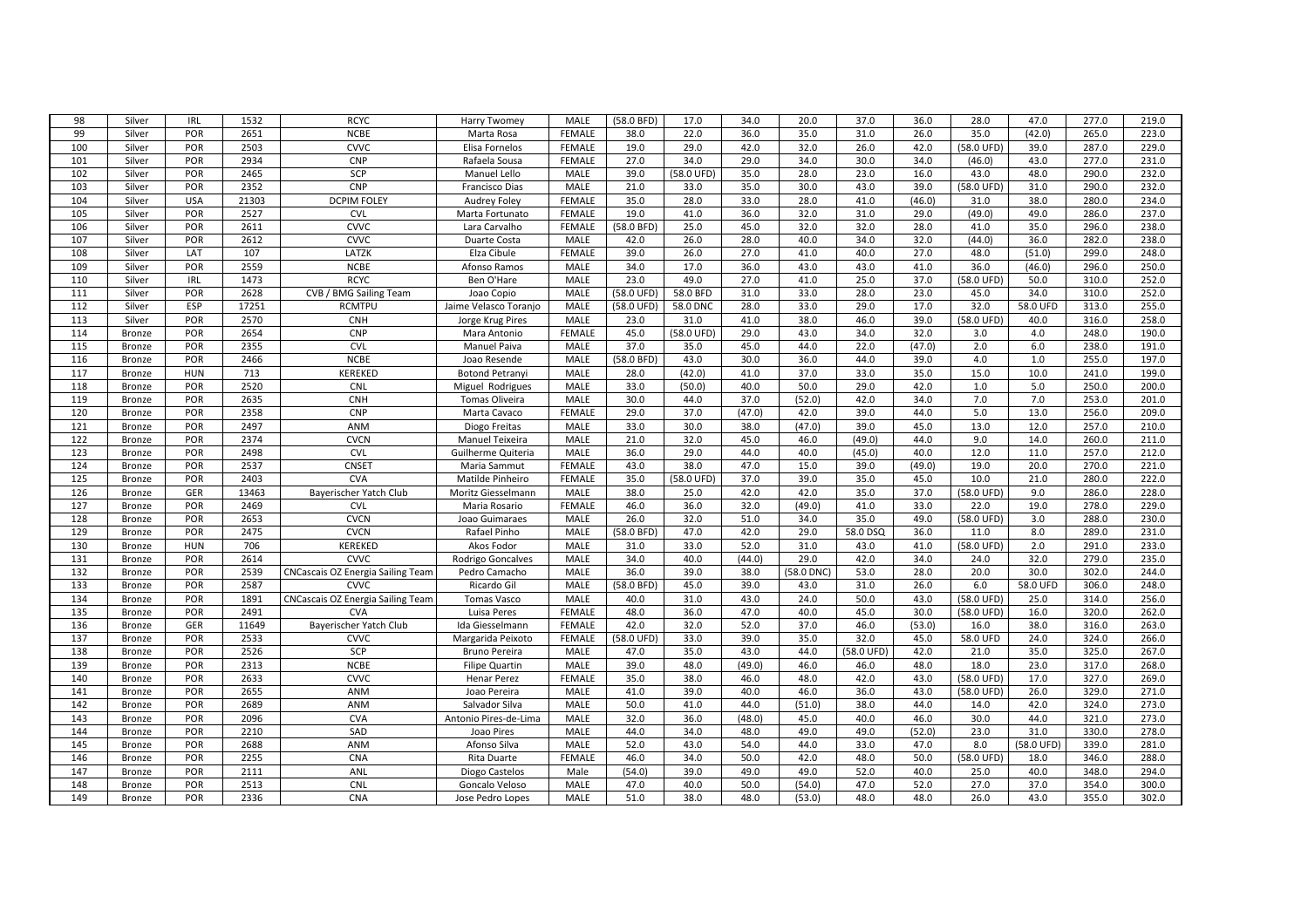| 98               |                  | <b>IRL</b> |       | <b>RCYC</b>                              |                        |                       | (58.0 BFD) | 17.0       |              | 20.0       | 37.0       | 36.0   | 28.0       | 47.0       | 277.0 |                |
|------------------|------------------|------------|-------|------------------------------------------|------------------------|-----------------------|------------|------------|--------------|------------|------------|--------|------------|------------|-------|----------------|
| 99               | Silver<br>Silver | POR        | 1532  | <b>NCBE</b>                              | <b>Harry Twomey</b>    | MALE<br><b>FEMALE</b> | 38.0       | 22.0       | 34.0<br>36.0 | 35.0       | 31.0       | 26.0   |            |            |       | 219.0<br>223.0 |
|                  |                  |            | 2651  |                                          | Marta Rosa             |                       |            |            |              |            |            |        | 35.0       | (42.0)     | 265.0 |                |
| 100              | Silver           | POR        | 2503  | <b>CVVC</b>                              | Elisa Fornelos         | <b>FEMALE</b>         | 19.0       | 29.0       | 42.0         | 32.0       | 26.0       | 42.0   | (58.0 UFD) | 39.0       | 287.0 | 229.0          |
| 101              | Silver           | POR        | 2934  | CNP                                      | Rafaela Sousa          | FEMALE                | 27.0       | 34.0       | 29.0         | 34.0       | 30.0       | 34.0   | (46.0)     | 43.0       | 277.0 | 231.0          |
| 102              | Silver           | POR        | 2465  | SCP                                      | Manuel Lello           | MALE                  | 39.0       | (58.0 UFD) | 35.0         | 28.0       | 23.0       | 16.0   | 43.0       | 48.0       | 290.0 | 232.0          |
| 103              | Silver           | POR        | 2352  | CNP                                      | Francisco Dias         | MALE                  | 21.0       | 33.0       | 35.0         | 30.0       | 43.0       | 39.0   | (58.0 UFD) | 31.0       | 290.0 | 232.0          |
| 104              | Silver           | <b>USA</b> | 21303 | <b>DCPIM FOLEY</b>                       | Audrey Foley           | FEMALE                | 35.0       | 28.0       | 33.0         | 28.0       | 41.0       | (46.0) | 31.0       | 38.0       | 280.0 | 234.0          |
| 105              | Silver           | POR        | 2527  | CVL                                      | Marta Fortunato        | FEMALE                | 19.0       | 41.0       | 36.0         | 32.0       | 31.0       | 29.0   | (49.0)     | 49.0       | 286.0 | 237.0          |
| 106              | Silver           | POR        | 2611  | <b>CVVC</b>                              | Lara Carvalho          | FEMALE                | (58.0 BFD) | 25.0       | 45.0         | 32.0       | 32.0       | 28.0   | 41.0       | 35.0       | 296.0 | 238.0          |
| 107              | Silver           | POR        | 2612  | <b>CVVC</b>                              | Duarte Costa           | <b>MALE</b>           | 42.0       | 26.0       | 28.0         | 40.0       | 34.0       | 32.0   | (44.0)     | 36.0       | 282.0 | 238.0          |
| 108              | Silver           | LAT        | 107   | LATZK                                    | Elza Cibule            | FEMALE                | 39.0       | 26.0       | 27.0         | 41.0       | 40.0       | 27.0   | 48.0       | (51.0)     | 299.0 | 248.0          |
| 109              | Silver           | POR        | 2559  | <b>NCBE</b>                              | Afonso Ramos           | MALE                  | 34.0       | 17.0       | 36.0         | 43.0       | 43.0       | 41.0   | 36.0       | (46.0)     | 296.0 | 250.0          |
| 110              | Silver           | IRL        | 1473  | <b>RCYC</b>                              | Ben O'Hare             | MALE                  | 23.0       | 49.0       | 27.0         | 41.0       | 25.0       | 37.0   | (58.0 UFD) | 50.0       | 310.0 | 252.0          |
| 111              | Silver           | POR        | 2628  | CVB / BMG Sailing Team                   | Joao Copio             | MALE                  | (58.0 UFD) | 58.0 BFD   | 31.0         | 33.0       | 28.0       | 23.0   | 45.0       | 34.0       | 310.0 | 252.0          |
| 112              | Silver           | ESP        | 17251 | <b>RCMTPU</b>                            | Jaime Velasco Toranjo  | MALE                  | (58.0 UFD) | 58.0 DNC   | 28.0         | 33.0       | 29.0       | 17.0   | 32.0       | 58.0 UFD   | 313.0 | 255.0          |
| 113              | Silver           | POR        | 2570  | <b>CNH</b>                               | Jorge Krug Pires       | MALE                  | 23.0       | 31.0       | 41.0         | 38.0       | 46.0       | 39.0   | (58.0 UFD) | 40.0       | 316.0 | 258.0          |
| 114              | Bronze           | POR        | 2654  | CNP                                      | Mara Antonio           | <b>FEMALE</b>         | 45.0       | (58.0 UFD) | 29.0         | 43.0       | 34.0       | 32.0   | 3.0        | 4.0        | 248.0 | 190.0          |
| 115              | <b>Bronze</b>    | POR        | 2355  | CVL                                      | Manuel Paiva           | MALE                  | 37.0       | 35.0       | 45.0         | 44.0       | 22.0       | (47.0) | 2.0        | 6.0        | 238.0 | 191.0          |
| 116              | <b>Bronze</b>    | POR        | 2466  | <b>NCBE</b>                              | Joao Resende           | MALE                  | (58.0 BFD) | 43.0       | 30.0         | 36.0       | 44.0       | 39.0   | 4.0        | 1.0        | 255.0 | 197.0          |
| 117              | <b>Bronze</b>    | <b>HUN</b> | 713   | <b>KEREKED</b>                           | <b>Botond Petranyi</b> | MALE                  | 28.0       | (42.0)     | 41.0         | 37.0       | 33.0       | 35.0   | 15.0       | 10.0       | 241.0 | 199.0          |
| 118              | <b>Bronze</b>    | POR        | 2520  | CNL                                      | Miguel Rodrigues       | MALE                  | 33.0       | (50.0)     | 40.0         | 50.0       | 29.0       | 42.0   | 1.0        | $5.0$      | 250.0 | 200.0          |
| 119              | <b>Bronze</b>    | POR        | 2635  | <b>CNH</b>                               | Tomas Oliveira         | MALE                  | 30.0       | 44.0       | 37.0         | (52.0)     | 42.0       | 34.0   | 7.0        | 7.0        | 253.0 | 201.0          |
| 120              | Bronze           | POR        | 2358  | <b>CNP</b>                               | Marta Cavaco           | FEMALE                | 29.0       | 37.0       | (47.0)       | 42.0       | 39.0       | 44.0   | 5.0        | 13.0       | 256.0 | 209.0          |
| $\overline{121}$ | Bronze           | POR        | 2497  | <b>ANM</b>                               | Diogo Freitas          | <b>MALE</b>           | 33.0       | 30.0       | 38.0         | (47.0)     | 39.0       | 45.0   | 13.0       | 12.0       | 257.0 | 210.0          |
| 122              | <b>Bronze</b>    | POR        | 2374  | <b>CVCN</b>                              | Manuel Teixeira        | MALE                  | 21.0       | 32.0       | 45.0         | 46.0       | (49.0)     | 44.0   | 9.0        | 14.0       | 260.0 | 211.0          |
| 123              | Bronze           | POR        | 2498  | <b>CVL</b>                               | Guilherme Quiteria     | MALE                  | 36.0       | 29.0       | 44.0         | 40.0       | (45.0)     | 40.0   | 12.0       | 11.0       | 257.0 | 212.0          |
| 124              | <b>Bronze</b>    | POR        | 2537  | <b>CNSET</b>                             | Maria Sammut           | FEMALE                | 43.0       | 38.0       | 47.0         | 15.0       | 39.0       | (49.0) | 19.0       | 20.0       | 270.0 | 221.0          |
| 125              | <b>Bronze</b>    | POR        | 2403  | <b>CVA</b>                               | Matilde Pinheiro       | FEMALE                | 35.0       | (58.0 UFD) | 37.0         | 39.0       | 35.0       | 45.0   | 10.0       | 21.0       | 280.0 | 222.0          |
| 126              | <b>Bronze</b>    | GER        | 13463 | Bayerischer Yatch Club                   | Moritz Giesselmann     | MALE                  | 38.0       | 25.0       | 42.0         | 42.0       | 35.0       | 37.0   | (58.0 UFD) | 9.0        | 286.0 | 228.0          |
| 127              | Bronze           | POR        | 2469  | <b>CVL</b>                               | Maria Rosario          | <b>FEMALE</b>         | 46.0       | 36.0       | 32.0         | (49.0)     | 41.0       | 33.0   | 22.0       | 19.0       | 278.0 | 229.0          |
| 128              | <b>Bronze</b>    | POR        | 2653  | <b>CVCN</b>                              | Joao Guimaraes         | <b>MALE</b>           | 26.0       | 32.0       | 51.0         | 34.0       | 35.0       | 49.0   | (58.0 UFD) | 3.0        | 288.0 | 230.0          |
| 129              | <b>Bronze</b>    | POR        | 2475  | <b>CVCN</b>                              | Rafael Pinho           | MALE                  | (58.0 BFD) | 47.0       | 42.0         | 29.0       | 58.0 DSQ   | 36.0   | 11.0       | 8.0        | 289.0 | 231.0          |
| 130              | <b>Bronze</b>    | <b>HUN</b> | 706   | <b>KEREKED</b>                           | Akos Fodor             | MALE                  | 31.0       | 33.0       | 52.0         | 31.0       | 43.0       | 41.0   | (58.0 UFD) | 2.0        | 291.0 | 233.0          |
| 131              | <b>Bronze</b>    | POR        | 2614  | <b>CVVC</b>                              | Rodrigo Goncalves      | MALE                  | 34.0       | 40.0       | (44.0)       | 29.0       | 42.0       | 34.0   | 24.0       | 32.0       | 279.0 | 235.0          |
| 132              | <b>Bronze</b>    | POR        | 2539  | <b>CNCascais OZ Energia Sailing Team</b> | Pedro Camacho          | MALE                  | 36.0       | 39.0       | 38.0         | (58.0 DNC) | 53.0       | 28.0   | 20.0       | 30.0       | 302.0 | 244.0          |
| 133              | Bronze           | POR        | 2587  | <b>CVVC</b>                              | Ricardo Gil            | MALE                  | (58.0 BFD) | 45.0       | 39.0         | 43.0       | 31.0       | 26.0   | 6.0        | 58.0 UFD   | 306.0 | 248.0          |
| 134              | <b>Bronze</b>    | POR        | 1891  | CNCascais OZ Energia Sailing Team        | Tomas Vasco            | MALE                  | 40.0       | 31.0       | 43.0         | 24.0       | 50.0       | 43.0   | (58.0 UFD) | 25.0       | 314.0 | 256.0          |
| 135              | Bronze           | POR        | 2491  | <b>CVA</b>                               | Luisa Peres            | FEMALE                | 48.0       | 36.0       | 47.0         | 40.0       | 45.0       | 30.0   | (58.0 UFD) | 16.0       | 320.0 | 262.0          |
| 136              | Bronze           | GER        | 11649 | Bayerischer Yatch Club                   | Ida Giesselmann        | <b>FEMALE</b>         | 42.0       | 32.0       | 52.0         | 37.0       | 46.0       | (53.0) | 16.0       | 38.0       | 316.0 | 263.0          |
| 137              | Bronze           | POR        | 2533  | <b>CVVC</b>                              | Margarida Peixoto      | FEMALE                | (58.0 UFD) | 33.0       | 39.0         | 35.0       | 32.0       | 45.0   | 58.0 UFD   | 24.0       | 324.0 | 266.0          |
| 138              | Bronze           | POR        | 2526  | SCP                                      | Bruno Pereira          | MALE                  | 47.0       | 35.0       | 43.0         | 44.0       | (58.0 UFD) | 42.0   | 21.0       | 35.0       | 325.0 | 267.0          |
| 139              | <b>Bronze</b>    | POR        | 2313  | <b>NCBE</b>                              | Filipe Quartin         | MALE                  | 39.0       | 48.0       | (49.0)       | 46.0       | 46.0       | 48.0   | 18.0       | 23.0       | 317.0 | 268.0          |
| 140              | Bronze           | POR        | 2633  | <b>CVVC</b>                              | Henar Perez            | FEMALE                | 35.0       | 38.0       | 46.0         | 48.0       | 42.0       | 43.0   | (58.0 UFD) | 17.0       | 327.0 | 269.0          |
| 141              | <b>Bronze</b>    | POR        | 2655  | ANM                                      | Joao Pereira           | MALE                  | 41.0       | 39.0       | 40.0         | 46.0       | 36.0       | 43.0   | (58.0 UFD) | 26.0       | 329.0 | 271.0          |
| 142              | Bronze           | POR        | 2689  | ANM                                      | Salvador Silva         | MALE                  | 50.0       | 41.0       | 44.0         | (51.0)     | 38.0       | 44.0   | 14.0       | 42.0       | 324.0 | 273.0          |
| 143              | Bronze           | POR        | 2096  | <b>CVA</b>                               | Antonio Pires-de-Lima  | MALE                  | 32.0       | 36.0       | (48.0)       | 45.0       | 40.0       | 46.0   | 30.0       | 44.0       | 321.0 | 273.0          |
| 144              | Bronze           | POR        | 2210  | SAD                                      | Joao Pires             | <b>MALE</b>           | 44.0       | 34.0       | 48.0         | 49.0       | 49.0       | (52.0) | 23.0       | 31.0       | 330.0 | 278.0          |
| 145              | Bronze           | POR        | 2688  | ANM                                      | Afonso Silva           | MALE                  | 52.0       | 43.0       | 54.0         | 44.0       | 33.0       | 47.0   | 8.0        | (58.0 UFD) | 339.0 | 281.0          |
| 146              | <b>Bronze</b>    | POR        | 2255  | CNA                                      | Rita Duarte            | FEMALE                | 46.0       | 34.0       | 50.0         | 42.0       | 48.0       | 50.0   | (58.0 UFD) | 18.0       | 346.0 | 288.0          |
| 147              | <b>Bronze</b>    | POR        | 2111  | ANL                                      | Diogo Castelos         | Male                  | (54.0)     | 39.0       | 49.0         | 49.0       | 52.0       | 40.0   | 25.0       | 40.0       | 348.0 | 294.0          |
| 148              | Bronze           | POR        | 2513  | CNL                                      | Goncalo Veloso         | MALE                  | 47.0       | 40.0       | 50.0         | (54.0)     | 47.0       | 52.0   | 27.0       | 37.0       | 354.0 | 300.0          |
| 149              | Bronze           | POR        | 2336  | CNA                                      | Jose Pedro Lopes       | MALE                  | 51.0       | 38.0       | 48.0         | (53.0)     | 48.0       | 48.0   | 26.0       | 43.0       | 355.0 | 302.0          |
|                  |                  |            |       |                                          |                        |                       |            |            |              |            |            |        |            |            |       |                |